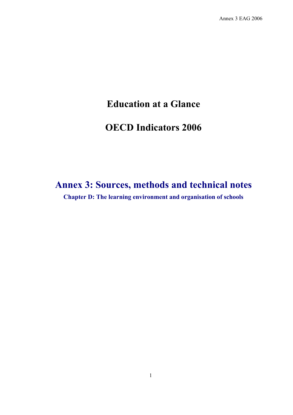Annex 3 EAG 2006

# **Education at a Glance**

# **OECD Indicators 2006**

# **Annex 3: Sources, methods and technical notes Chapter D: The learning environment and organisation of schools**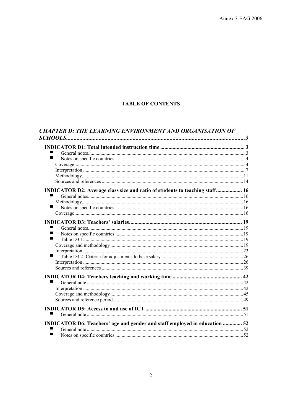## **TABLE OF CONTENTS**

| <b>CHAPTER D: THE LEARNING ENVIRONMENT AND ORGANISATION OF</b> |
|----------------------------------------------------------------|
|                                                                |

| ■                                                                           |  |
|-----------------------------------------------------------------------------|--|
|                                                                             |  |
|                                                                             |  |
|                                                                             |  |
|                                                                             |  |
| INDICATOR D2: Average class size and ratio of students to teaching staff 16 |  |
|                                                                             |  |
|                                                                             |  |
| ■                                                                           |  |
|                                                                             |  |
|                                                                             |  |
|                                                                             |  |
|                                                                             |  |
|                                                                             |  |
|                                                                             |  |
|                                                                             |  |
| ■                                                                           |  |
|                                                                             |  |
|                                                                             |  |
|                                                                             |  |
| ٠                                                                           |  |
|                                                                             |  |
|                                                                             |  |
|                                                                             |  |
|                                                                             |  |
|                                                                             |  |
| INDICATOR D6: Teachers' age and gender and staff employed in education  52  |  |
|                                                                             |  |
| ■                                                                           |  |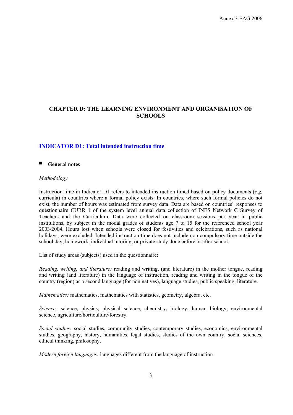# **CHAPTER D: THE LEARNING ENVIRONMENT AND ORGANISATION OF SCHOOLS**

#### **INDICATOR D1: Total intended instruction time**

#### ■ **General notes**

#### *Methodology*

Instruction time in Indicator D1 refers to intended instruction timed based on policy documents (*e.g.* curricula) in countries where a formal policy exists. In countries, where such formal policies do not exist, the number of hours was estimated from survey data. Data are based on countries' responses to questionnaire CURR 1 of the system level annual data collection of INES Network C Survey of Teachers and the Curriculum. Data were collected on classroom sessions per year in public institutions, by subject in the modal grades of students age 7 to 15 for the referenced school year 2003/2004. Hours lost when schools were closed for festivities and celebrations, such as national holidays, were excluded. Intended instruction time does not include non-compulsory time outside the school day, homework, individual tutoring, or private study done before or after school.

List of study areas (subjects) used in the questionnaire:

*Reading, writing, and literature:* reading and writing, (and literature) in the mother tongue, reading and writing (and literature) in the language of instruction, reading and writing in the tongue of the country (region) as a second language (for non natives), language studies, public speaking, literature.

*Mathematics:* mathematics, mathematics with statistics, geometry, algebra, etc.

*Science:* science, physics, physical science, chemistry, biology, human biology, environmental science, agriculture/horticulture/forestry.

*Social studies:* social studies, community studies, contemporary studies, economics, environmental studies, geography, history, humanities, legal studies, studies of the own country, social sciences, ethical thinking, philosophy.

*Modern foreign languages:* languages different from the language of instruction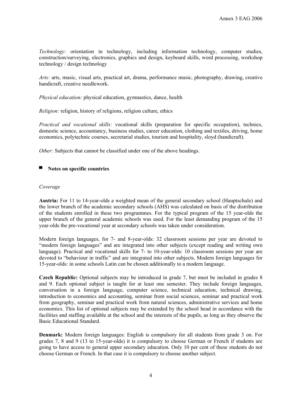*Technology:* orientation in technology, including information technology, computer studies, construction/surveying, electronics, graphics and design, keyboard skills, word processing, workshop technology / design technology

*Arts:* arts, music, visual arts, practical art, drama, performance music, photography, drawing, creative handicraft, creative needlework.

*Physical education:* physical education, gymnastics, dance, health

*Religion:* religion, history of religions, religion culture, ethics

*Practical and vocational skills:* vocational skills (preparation for specific occupation), technics, domestic science, accountancy, business studies, career education, clothing and textiles, driving, home economics, polytechnic courses, secretarial studies, tourism and hospitality, sloyd (handicraft).

*Other:* Subjects that cannot be classified under one of the above headings.

#### ▀ **Notes on specific countries**

#### *Coverage*

**Austria:** For 11 to 14-year-olds a weighted mean of the general secondary school (Hauptschule) and the lower branch of the academic secondary schools (AHS) was calculated on basis of the distribution of the students enrolled in these two programmes. For the typical program of the 15 year-olds the upper branch of the general academic schools was used. For the least demanding program of the 15 year-olds the pre-vocational year at secondary schools was taken under consideration.

Modern foreign languages, for 7- and 8-year-olds: 32 classroom sessions per year are devoted to "modern foreign languages" and are integrated into other subjects (except reading and writing own language). Practical and vocational skills for 7- to 10-year-olds: 10 classroom sessions per year are devoted to "behaviour in traffic" and are integrated into other subjects. Modern foreign languages for 15-year-olds: in some schools Latin can be chosen additionally to a modern language.

**Czech Republic:** Optional subjects may be introduced in grade 7, but must be included in grades 8 and 9. Each optional subject is taught for at least one semester. They include foreign languages, conversation in a foreign language, computer science, technical education, technical drawing, introduction to economics and accounting, seminar from social sciences, seminar and practical work from geography, seminar and practical work from natural sciences, administrative services and home economics. This list of optional subjects may be extended by the school head in accordance with the facilities and staffing available at the school and the interests of the pupils, as long as they observe the Basic Educational Standard.

**Denmark:** Modern foreign languages: English is compulsory for all students from grade 3 on. For grades 7, 8 and 9 (13 to 15-year-olds) it is compulsory to choose German or French if students are going to have access to general upper secondary education. Only 10 per cent of these students do not choose German or French. In that case it is compulsory to choose another subject.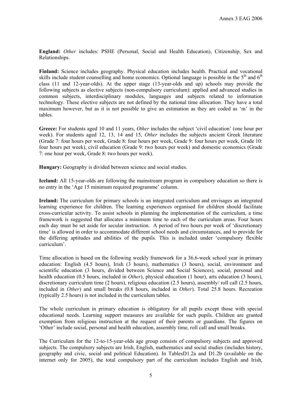**England:** *Other* includes: PSHE (Personal, Social and Health Education), Citizenship, Sex and Relationships.

**Finland:** Science includes geography. Physical education includes health. Practical and vocational skills include student counselling and home economics. Optional language is possible in the  $5<sup>th</sup>$  and  $6<sup>th</sup>$ class (11 and 12-year-olds). At the upper stage (13-year-olds and up) schools may provide the following subjects as elective subjects (non-compulsory curriculum): applied and advanced studies in common subjects, interdisciplinary modules, languages and subjects related to information technology. These elective subjects are not defined by the national time allocation. They have a total maximum however, but as it is not possible to give an estimation as they are coded as 'm' in the tables.

**Greece:** For students aged 10 and 11 years, *Other* includes the subject 'civil education' (one hour per week). For students aged 12, 13, 14 and 15, *Other* includes the subjects ancient Greek literature (Grade 7: four hours per week, Grade 8: four hours per week, Grade 9: four hours per week, Grade 10: four hours per week), civil education (Grade 9: two hours per week) and domestic economics (Grade 7: one hour per week, Grade 8: two hours per week).

**Hungary:** Geography is divided between science and social studies.

**Iceland:** All 15-year-olds are following the mainstream program in compulsory education so there is no entry in the 'Age 15 minimum required programme' column.

**Ireland:** The curriculum for primary schools is an integrated curriculum and envisages an integrated learning experience for children. The learning experiences organised for children should facilitate cross-curricular activity. To assist schools in planning the implementation of the curriculum, a time framework is suggested that allocates a minimum time to each of the curriculum areas. Four hours each day must be set aside for secular instruction. A period of two hours per week of 'discretionary time' is allowed in order to accommodate different school needs and circumstances, and to provide for the differing aptitudes and abilities of the pupils. This is included under 'compulsory flexible curriculum'.

Time allocation is based on the following weekly framework for a 36.6-week school year in primary education: English (4.5 hours), Irish (3 hours), mathematics (3 hours), social, environment and scientific education (3 hours, divided between Science and Social Sciences), social, personal and health education (0.5 hours, included in *Other*), physical education (1 hour), arts education (3 hours), discretionary curriculum time (2 hours), religious education (2.5 hours), assembly/ roll call (2.5 hours, included in *Other*) and small breaks (0.8 hours, included in *Other*). Total 25.8 hours. Recreation (typically 2.5 hours) is not included in the curriculum tables.

The whole curriculum in primary education is obligatory for all pupils except those with special educational needs. Learning support measures are available for such pupils. Children are granted exemption from religious instruction at the request of their parents or guardians. The figures on 'Other' include social, personal and health education, assembly time, roll call and small breaks.

The Curriculum for the 12-to-15-year-olds age group consists of compulsory subjects and approved subjects. The compulsory subjects are Irish, English, mathematics and social studies (includes history, geography and civic, social and political Education). In TablesD1.2a and D1.2b (available on the internet only for 2005), the total compulsory part of the curriculum includes English and Irish,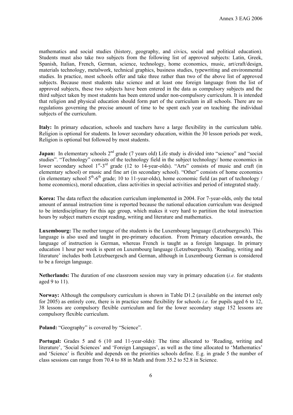mathematics and social studies (history, geography, and civics, social and political education). Students must also take two subjects from the following list of approved subjects: Latin, Greek, Spanish, Italian, French, German, science, technology, home economics, music, art/craft/design, materials technology, metalwork, technical graphics, business studies, typewriting and environmental studies. In practice, most schools offer and take three rather than two of the above list of approved subjects. Because most students take science and at least one foreign language from the list of approved subjects, these two subjects have been entered in the data as compulsory subjects and the third subject taken by most students has been entered under non-compulsory curriculum. It is intended that religion and physical education should form part of the curriculum in all schools. There are no regulations governing the precise amount of time to be spent each year on teaching the individual subjects of the curriculum.

**Italy:** In primary education, schools and teachers have a large flexibility in the curriculum table. Religion is optional for students. In lower secondary education, within the 30 lesson periods per week, Religion is optional but followed by most students.

**Japan:** In elementary schools 2<sup>nd</sup> grade (7 years old) Life study is divided into "science" and "social studies". "Technology" consists of the technology field in the subject technology/ home economics in lower secondary school 1<sup>st</sup>-3<sup>rd</sup> grade (12 to 14-year-olds). "Arts" consists of music and craft (in elementary school) or music and fine art (in secondary school). "Other" consists of home economics (in elementary school  $5<sup>th</sup>$ -6<sup>th</sup> grade; 10 to 11-year-olds), home economic field (as part of technology / home economics), moral education, class activities in special activities and period of integrated study.

**Korea:** The data reflect the education curriculum implemented in 2004. For 7-year-olds, only the total amount of annual instruction time is reported because the national education curriculum was designed to be interdisciplinary for this age group, which makes it very hard to partition the total instruction hours by subject matters except reading, writing and literature and mathematics.

**Luxembourg:** The mother tongue of the students is the Luxembourg language (Letzebuergesch). This language is also used and taught in pre-primary education. From Primary education onwards, the language of instruction is German, whereas French is taught as a foreign language. In primary education 1 hour per week is spent on Luxembourg language (Letzebuergesch). 'Reading, writing and literature' includes both Letzebuergesch and German, although in Luxembourg German is considered to be a foreign language.

**Netherlands:** The duration of one classroom session may vary in primary education (*i.e.* for students aged 9 to 11).

**Norway:** Although the compulsory curriculum is shown in Table D1.2 (available on the internet only for 2005) as entirely core, there is in practice some flexibility for schools *i.e.* for pupils aged 6 to 12, 38 lessons are compulsory flexible curriculum and for the lower secondary stage 152 lessons are compulsory flexible curriculum.

**Poland:** "Geography" is covered by "Science".

**Portugal:** Grades 5 and 6 (10 and 11-year-olds): The time allocated to 'Reading, writing and literature', 'Social Sciences' and 'Foreign Languages', as well as the time allocated to 'Mathematics' and 'Science' is flexible and depends on the priorities schools define. E.g. in grade 5 the number of class sessions can range from 70.4 to 88 in Math and from 35.2 to 52.8 in Science.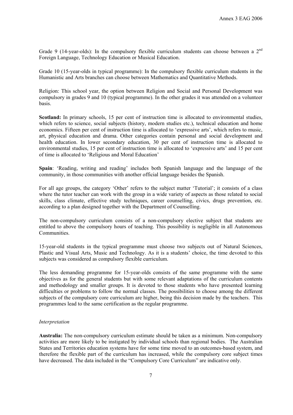Grade 9 (14-year-olds): In the compulsory flexible curriculum students can choose between a  $2<sup>nd</sup>$ Foreign Language, Technology Education or Musical Education.

Grade 10 (15-year-olds in typical programme): In the compulsory flexible curriculum students in the Humanistic and Arts branches can choose between Mathematics and Quantitative Methods.

Religion: This school year, the option between Religion and Social and Personal Development was compulsory in grades 9 and 10 (typical programme). In the other grades it was attended on a volunteer basis.

**Scotland:** In primary schools, 15 per cent of instruction time is allocated to environmental studies, which refers to science, social subjects (history, modern studies etc.), technical education and home economics. Fifteen per cent of instruction time is allocated to 'expressive arts', which refers to music, art, physical education and drama. Other categories contain personal and social development and health education. In lower secondary education, 30 per cent of instruction time is allocated to environmental studies, 15 per cent of instruction time is allocated to 'expressive arts' and 15 per cent of time is allocated to 'Religious and Moral Education'

**Spain**: 'Reading, writing and reading' includes both Spanish language and the language of the community, in those communities with another official language besides the Spanish.

For all age groups, the category 'Other' refers to the subject matter 'Tutorial'; it consists of a class where the tutor teacher can work with the group in a wide variety of aspects as those related to social skills, class climate, effective study techniques, career counselling, civics, drugs prevention, etc. according to a plan designed together with the Department of Counselling.

The non-compulsory curriculum consists of a non-compulsory elective subject that students are entitled to above the compulsory hours of teaching. This possibility is negligible in all Autonomous **Communities** 

15-year-old students in the typical programme must choose two subjects out of Natural Sciences, Plastic and Visual Arts, Music and Technology. As it is a students' choice, the time devoted to this subjects was considered as compulsory flexible curriculum.

The less demanding programme for 15-year-olds consists of the same programme with the same objectives as for the general students but with some relevant adaptations of the curriculum contents and methodology and smaller groups. It is devoted to those students who have presented learning difficulties or problems to follow the normal classes. The possibilities to choose among the different subjects of the compulsory core curriculum are higher, being this decision made by the teachers. This programmes lead to the same certification as the regular programme.

#### *Interpretation*

**Australia:** The non-compulsory curriculum estimate should be taken as a minimum. Non-compulsory activities are more likely to be instigated by individual schools than regional bodies. The Australian States and Territories education systems have for some time moved to an outcomes-based system, and therefore the flexible part of the curriculum has increased, while the compulsory core subject times have decreased. The data included in the "Compulsory Core Curriculum" are indicative only.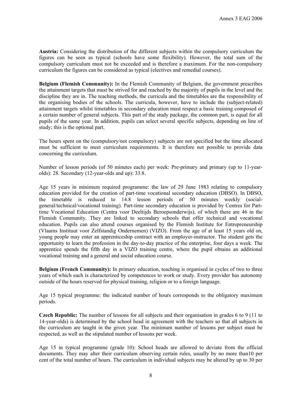**Austria:** Considering the distribution of the different subjects within the compulsory curriculum the figures can be seen as typical (schools have some flexibility). However, the total sum of the compulsory curriculum must not be exceeded and is therefore a maximum. For the non-compulsory curriculum the figures can be considered as typical (electives and remedial courses).

**Belgium (Flemish Community):** In the Flemish Community of Belgium, the government prescribes the attainment targets that must be strived for and reached by the majority of pupils in the level and the discipline they are in. The teaching methods, the curricula and the timetables are the responsibility of the organising bodies of the schools. The curricula, however, have to include the (subject-related) attainment targets whilst timetables in secondary education must respect a basic training composed of a certain number of general subjects. This part of the study package, the common part, is equal for all pupils of the same year. In addition, pupils can select several specific subjects, depending on line of study; this is the optional part.

The hours spent on the (compulsory/not compulsory) subjects are not specified but the time allocated must be sufficient to meet curriculum requirements. It is therefore not possible to provide data concerning the curriculum.

Number of lesson periods (of 50 minutes each) per week: Pre-primary and primary (up to 11-yearolds): 28. Secondary (12-year-olds and up): 33.8.

Age 15 years in minimum required programme: the law of 29 June 1983 relating to compulsory education provided for the creation of part-time vocational secondary education (DBSO). In DBSO, the timetable is reduced to 14.8 lesson periods of 50 minutes weekly (socialgeneral/technical/vocational training). Part-time secondary education is provided by Centres for Parttime Vocational Education (Centra voor Deeltijds Beroepsonderwijs), of which there are 46 in the Flemish Community. They are linked to secondary schools that offer technical and vocational education. Pupils can also attend courses organised by the Flemish Institute for Entrepreneurship (Vlaams Instituut voor Zelfstandig Ondernemen) (VIZO). From the age of at least 15 years old on, young people may enter an apprenticeship contract with an employer-instructor. The student gets the opportunity to learn the profession in the day-to-day practice of the enterprise, four days a week. The apprentice spends the fifth day in a VIZO training centre, where the pupil obtains an additional vocational training and a general and social education course.

**Belgium (French Community):** In primary education, teaching is organised in cycles of two to three years of which each is characterized by competences to work or study. Every provider has autonomy outside of the hours reserved for physical training, religion or to a foreign language.

Age 15 typical programme: the indicated number of hours corresponds to the obligatory maximum periods.

**Czech Republic:** The number of lessons for all subjects and their organisation in grades 6 to 9 (11 to 14-year-olds) is determined by the school head in agreement with the teachers so that all subjects in the curriculum are taught in the given year. The minimum number of lessons per subject must be respected, as well as the stipulated number of lessons per week.

Age 15 in typical programme (grade 10): School heads are allowed to deviate from the official documents. They may alter their curriculum observing certain rules, usually by no more than10 per cent of the total number of hours. The curriculum in individual subjects may be altered by up to 30 per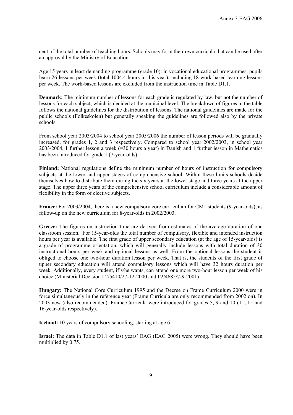cent of the total number of teaching hours. Schools may form their own curricula that can be used after an approval by the Ministry of Education.

Age 15 years in least demanding programme (grade 10): in vocational educational programmes, pupils learn 26 lessons per week (total 1004.4 hours in this year), including 18 work-based learning lessons per week. The work-based lessons are excluded from the instruction time in Table D1.1.

**Denmark:** The minimum number of lessons for each grade is regulated by law, but not the number of lessons for each subject, which is decided at the municipal level. The breakdown of figures in the table follows the national guidelines for the distribution of lessons. The national guidelines are made for the public schools (Folkeskolen) but generally speaking the guidelines are followed also by the private schools.

From school year 2003/2004 to school year 2005/2006 the number of lesson periods will be gradually increased, for grades 1, 2 and 3 respectively. Compared to school year 2002/2003, in school year 2003/2004, 1 further lesson a week (=30 hours a year) in Danish and 1 further lesson in Mathematics has been introduced for grade 1 (7-year-olds)

**Finland:** National regulations define the minimum number of hours of instruction for compulsory subjects at the lower and upper stages of comprehensive school. Within these limits schools decide themselves how to distribute them during the six years at the lower stage and three years at the upper stage. The upper three years of the comprehensive school curriculum include a considerable amount of flexibility in the form of elective subjects.

**France:** For 2003/2004, there is a new compulsory core curriculum for CM1 students (9-year-olds), as follow-up on the new curriculum for 8-year-olds in 2002/2003.

**Greece:** The figures on instruction time are derived from estimates of the average duration of one classroom session. For 15-year-olds the total number of compulsory, flexible and intended instruction hours per year is available. The first grade of upper secondary education (at the age of 15-year-olds) is a grade of programme orientation, which will generally include lessons with total duration of 30 instructional hours per week and optional lessons as well. From the optional lessons the student is obliged to choose one two-hour duration lesson per week. That is, the students of the first grade of upper secondary education will attend compulsory lessons which will have 32 hours duration per week. Additionally, every student, if s/he wants, can attend one more two-hour lesson per week of his choice (Ministerial Decision Γ2/5410/27-12-2000 and Γ2/4685/7-9-2001).

**Hungary:** The National Core Curriculum 1995 and the Decree on Frame Curriculum 2000 were in force simultaneously in the reference year (Frame Curricula are only recommended from 2002 on). In 2003 new (also recommended). Frame Curricula were introduced for grades 5, 9 and 10 (11, 15 and 16-year-olds respectively).

**Iceland:** 10 years of compulsory schooling, starting at age 6.

**Israel:** The data in Table D1.1 of last years' EAG (EAG 2005) were wrong. They should have been multiplied by 0.75.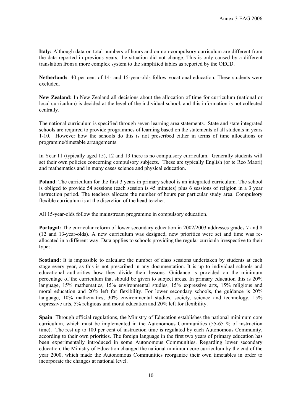**Italy:** Although data on total numbers of hours and on non-compulsory curriculum are different from the data reported in previous years, the situation did not change. This is only caused by a different translation from a more complex system to the simplified tables as reported by the OECD.

**Netherlands**: 40 per cent of 14- and 15-year-olds follow vocational education. These students were excluded.

**New Zealand:** In New Zealand all decisions about the allocation of time for curriculum (national or local curriculum) is decided at the level of the individual school, and this information is not collected centrally.

The national curriculum is specified through seven learning area statements. State and state integrated schools are required to provide programmes of learning based on the statements of all students in years 1-10. However how the schools do this is not prescribed either in terms of time allocations or programme/timetable arrangements.

In Year 11 (typically aged 15), 12 and 13 there is no compulsory curriculum. Generally students will set their own policies concerning compulsory subjects. These are typically English (or te Reo Maori) and mathematics and in many cases science and physical education.

**Poland**: The curriculum for the first 3 years in primary school is an integrated curriculum. The school is obliged to provide 54 sessions (each session is 45 minutes) plus 6 sessions of religion in a 3 year instruction period. The teachers allocate the number of hours per particular study area. Compulsory flexible curriculum is at the discretion of the head teacher.

All 15-year-olds follow the mainstream programme in compulsory education.

**Portugal:** The curricular reform of lower secondary education in 2002/2003 addresses grades 7 and 8 (12 and 13-year-olds). A new curriculum was designed, new priorities were set and time was reallocated in a different way. Data applies to schools providing the regular curricula irrespective to their types.

**Scotland:** It is impossible to calculate the number of class sessions undertaken by students at each stage every year, as this is not prescribed in any documentation. It is up to individual schools and educational authorities how they divide their lessons. Guidance is provided on the minimum percentage of the curriculum that should be given to subject areas. In primary education this is 20% language, 15% mathematics, 15% environmental studies, 15% expressive arts, 15% religious and moral education and 20% left for flexibility. For lower secondary schools, the guidance is 20% language, 10% mathematics, 30% environmental studies, society, science and technology, 15% expressive arts, 5% religious and moral education and 20% left for flexibility.

**Spain**: Through official regulations, the Ministry of Education establishes the national minimum core curriculum, which must be implemented in the Autonomous Communities (55-65 % of instruction time). The rest up to 100 per cent of instruction time is regulated by each Autonomous Community, according to their own priorities. The foreign language in the first two years of primary education has been experimentally introduced in some Autonomous Communities. Regarding lower secondary education, the Ministry of Education changed the national minimum core curriculum by the end of the year 2000, which made the Autonomous Communities reorganize their own timetables in order to incorporate the changes at national level.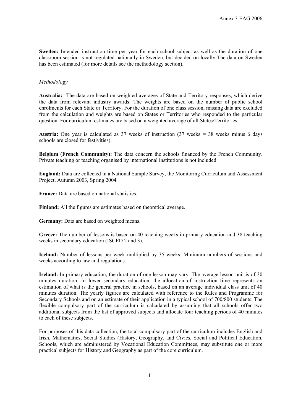**Sweden:** Intended instruction time per year for each school subject as well as the duration of one classroom session is not regulated nationally in Sweden, but decided on locally The data on Sweden has been estimated (for more details see the methodology section).

#### *Methodology*

**Australia:** The data are based on weighted averages of State and Territory responses, which derive the data from relevant industry awards. The weights are based on the number of public school enrolments for each State or Territory. For the duration of one class session, missing data are excluded from the calculation and weights are based on States or Territories who responded to the particular question. For curriculum estimates are based on a weighted average of all States/Territories.

**Austria:** One year is calculated as  $37$  weeks of instruction  $(37$  weeks =  $38$  weeks minus 6 days schools are closed for festivities).

**Belgium (French Community):** The data concern the schools financed by the French Community. Private teaching or teaching organised by international institutions is not included.

**England:** Data are collected in a National Sample Survey, the Monitoring Curriculum and Assessment Project, Autumn 2003, Spring 2004

**France:** Data are based on national statistics.

**Finland:** All the figures are estimates based on theoretical average.

**Germany:** Data are based on weighted means.

**Greece:** The number of lessons is based on 40 teaching weeks in primary education and 38 teaching weeks in secondary education (ISCED 2 and 3).

**Iceland:** Number of lessons per week multiplied by 35 weeks. Minimum numbers of sessions and weeks according to law and regulations.

**Ireland:** In primary education, the duration of one lesson may vary. The average lesson unit is of 30 minutes duration. In lower secondary education, the allocation of instruction time represents an estimation of what is the general practice in schools, based on an average individual class unit of 40 minutes duration. The yearly figures are calculated with reference to the Rules and Programme for Secondary Schools and on an estimate of their application in a typical school of 700/800 students. The flexible compulsory part of the curriculum is calculated by assuming that all schools offer two additional subjects from the list of approved subjects and allocate four teaching periods of 40 minutes to each of these subjects.

For purposes of this data collection, the total compulsory part of the curriculum includes English and Irish, Mathematics, Social Studies (History, Geography, and Civics, Social and Political Education. Schools, which are administered by Vocational Education Committees, may substitute one or more practical subjects for History and Geography as part of the core curriculum.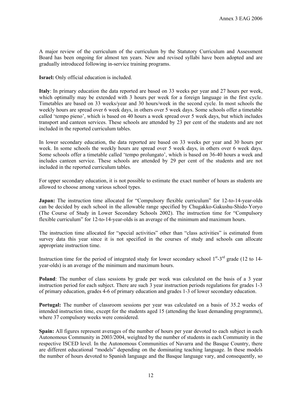A major review of the curriculum of the curriculum by the Statutory Curriculum and Assessment Board has been ongoing for almost ten years. New and revised syllabi have been adopted and are gradually introduced following in-service training programs.

**Israel:** Only official education is included.

**Italy**: In primary education the data reported are based on 33 weeks per year and 27 hours per week, which optimally may be extended with 3 hours per week for a foreign language in the first cycle. Timetables are based on 33 weeks/year and 30 hours/week in the second cycle. In most schools the weekly hours are spread over 6 week days, in others over 5 week days. Some schools offer a timetable called 'tempo pieno', which is based on 40 hours a week spread over 5 week days, but which includes transport and canteen services. These schools are attended by 23 per cent of the students and are not included in the reported curriculum tables.

In lower secondary education, the data reported are based on 33 weeks per year and 30 hours per week. In some schools the weekly hours are spread over 5 week days, in others over 6 week days. Some schools offer a timetable called 'tempo prolungato', which is based on 36-40 hours a week and includes canteen service. These schools are attended by 29 per cent of the students and are not included in the reported curriculum tables.

For upper secondary education, it is not possible to estimate the exact number of hours as students are allowed to choose among various school types.

**Japan:** The instruction time allocated for "Compulsory flexible curriculum" for 12-to-14-year-olds can be decided by each school in the allowable range specified by Chugakko-Gakushu-Shido-Yoryo (The Course of Study in Lower Secondary Schools 2002). The instruction time for "Compulsory flexible curriculum" for 12-to-14-year-olds is an average of the minimum and maximum hours.

The instruction time allocated for "special activities" other than "class activities" is estimated from survey data this year since it is not specified in the courses of study and schools can allocate appropriate instruction time.

Instruction time for the period of integrated study for lower secondary school  $1<sup>st</sup> - 3<sup>rd</sup>$  grade (12 to 14year-olds) is an average of the minimum and maximum hours.

**Poland**: The number of class sessions by grade per week was calculated on the basis of a 3 year instruction period for each subject. There are such 3 year instruction periods regulations for grades 1-3 of primary education, grades 4-6 of primary education and grades 1-3 of lower secondary education.

**Portugal:** The number of classroom sessions per year was calculated on a basis of 35.2 weeks of intended instruction time, except for the students aged 15 (attending the least demanding programme), where 37 compulsory weeks were considered.

**Spain:** All figures represent averages of the number of hours per year devoted to each subject in each Autonomous Community in 2003/2004, weighted by the number of students in each Community in the respective ISCED level. In the Autonomous Communities of Navarra and the Basque Country, there are different educational "models" depending on the dominating teaching language. In these models the number of hours devoted to Spanish language and the Basque language vary, and consequently, so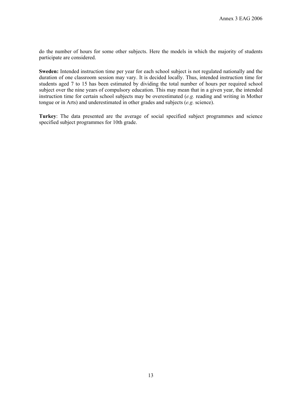do the number of hours for some other subjects. Here the models in which the majority of students participate are considered.

**Sweden:** Intended instruction time per year for each school subject is not regulated nationally and the duration of one classroom session may vary. It is decided locally. Thus, intended instruction time for students aged 7 to 15 has been estimated by dividing the total number of hours per required school subject over the nine years of compulsory education. This may mean that in a given year, the intended instruction time for certain school subjects may be overestimated (*e.g.* reading and writing in Mother tongue or in Arts) and underestimated in other grades and subjects (*e.g.* science).

**Turkey**: The data presented are the average of social specified subject programmes and science specified subject programmes for 10th grade.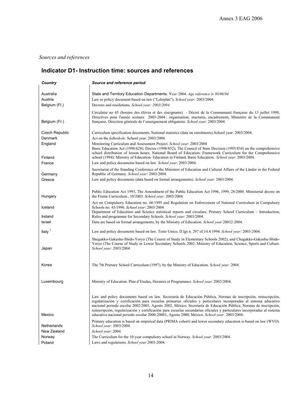# *Sources and references*

# **Indicator D1- Instruction time: sources and references**

| Country                               | Source and reference period                                                                                                                                                                                                                                                                                                                                                                                                                                                                                                                                                       |
|---------------------------------------|-----------------------------------------------------------------------------------------------------------------------------------------------------------------------------------------------------------------------------------------------------------------------------------------------------------------------------------------------------------------------------------------------------------------------------------------------------------------------------------------------------------------------------------------------------------------------------------|
| Australia<br>Austria<br>Belgium (Fl.) | State and Territory Education Departments. Year: 2004. Age reference is 30/06/04<br>Law or policy document based on law ("Lehrplan"). School year: 2003/2004.<br>Decrees and resolutions. School year: 2003/2004.                                                                                                                                                                                                                                                                                                                                                                 |
| Belgium (Fr.)                         | Circulaire no 65 (horaire des élèves et des eiseignants) - Décret de la Communauté française du 13 juillet 1998,<br>Directives pour l'année scolaire 2003-2004 : organisation, stuctures, encadrement, Ministère de la Communauté<br>française, Direction générale de l'enseignement obligatoire. School year: 2003/2004.                                                                                                                                                                                                                                                         |
| Czech Republic<br>Denmark<br>England  | Curriculum specification documents, National statistics (data on enrolments). School year: 2003/2004.<br>Act on the <i>folkeskole</i> . School year: 2003/2004.<br>Monitoring Curriculum and Assessment Project. School year: 2003/2004                                                                                                                                                                                                                                                                                                                                           |
| Finland                               | Basic Education Act (1998/628); Decree (1998/852); The Council of State Decision (1993/834) on the comprehensive<br>school distribution of lesson hours; National Board of Education: Framework Curriculum for the Comprehensive<br>school (1994); Ministry of Education: Education in Finland, Basic Education. School year: 2003/2004.                                                                                                                                                                                                                                          |
| France<br>Germany                     | Law and policy documents based on law. <i>School year</i> : 2003/2004.<br>Secretariat of the Standing Conference of the Ministers of Education and Cultural Affairs of the Länder in the Federal<br>Republic of Germany. School year: 2003/2004.                                                                                                                                                                                                                                                                                                                                  |
| Greece                                | Law and policy documents (data based on formal arrangements). School year: 2003/2004.                                                                                                                                                                                                                                                                                                                                                                                                                                                                                             |
| Hungary                               | Public Education Act 1993, The Amendment of the Public Education Act 1996, 1999, 28/2000. Ministerial decree on<br>the Frame Curriculum., 10/2003. School year: 2003/2004.                                                                                                                                                                                                                                                                                                                                                                                                        |
| Iceland                               | Act on Compulsory Education no. 66/1995 and Regulation on Enforcement of National Curriculum in Compulsory<br>Schools no. 43/1996. School year: 2003/2004<br>Department of Education and Science statistical reports and circulars; Primary School Curriculum - Introduction;                                                                                                                                                                                                                                                                                                     |
| Ireland<br>Israel                     | Rules and programme for Secondary Schools. School year: 2003/2004.<br>Data are based on formal arrangements, by the Ministry of Education. School year 20032-2004.                                                                                                                                                                                                                                                                                                                                                                                                                |
| Italy <sup>1</sup>                    | Law and policy documents based on law. Testo Unico, D.lgs n. 297 of 14.4.1994. School year: 2003-2004.                                                                                                                                                                                                                                                                                                                                                                                                                                                                            |
| Japan                                 | Shogakko-Gakushu-Shido-Yoryo (The Course of Study in Elementary Schools 2002), and Chugakko-Gakushu-Shido-<br>Yoryo (The Course of Study in Lower Secondary Schools 2002, Ministry of Education, Science, Sports and Culture.<br>School year: 2003/2004.                                                                                                                                                                                                                                                                                                                          |
| Korea                                 | The 7th Primary School Curriculum (1997), by the Ministry of Education. School year: 2004.                                                                                                                                                                                                                                                                                                                                                                                                                                                                                        |
| Luxembourg                            | Ministry of Education. Plan d'Etudes, Horaires et Programmes. School year: 2003/2004.                                                                                                                                                                                                                                                                                                                                                                                                                                                                                             |
| Mexico                                | Law and policy documents based on law. Secretaría de Educación Pública, Normas de inscripción, reinscripción,<br>regularización y certificación para escuelas primarias oficiales y particulares incorporadas al sistema educativo<br>nacional periodo escolar 2002/2003, Agosto 2002, México. Secretaría de Educación Pública, Normas de inscripción,<br>reinscripción, regularización y certificación para escuelas secundarias oficiales y particulares incorporadas al sistema<br>educativo nacional periodo escolar 2000-20001, Agosto 2000, México. School year: 2003/2004. |
| Netherlands                           | Primary education is based on empirical data (PRIMA cohort) and lower secondary education is based on law (WVO).<br>School year: 2003/2004.                                                                                                                                                                                                                                                                                                                                                                                                                                       |
| New Zealand                           | School year: 2004.                                                                                                                                                                                                                                                                                                                                                                                                                                                                                                                                                                |
| Norway                                | The Curriculum for the 10-year compulsory school in Norway. School year: 2003/2004.                                                                                                                                                                                                                                                                                                                                                                                                                                                                                               |
| Poland                                | Laws and regulations. School year 2003-2004.                                                                                                                                                                                                                                                                                                                                                                                                                                                                                                                                      |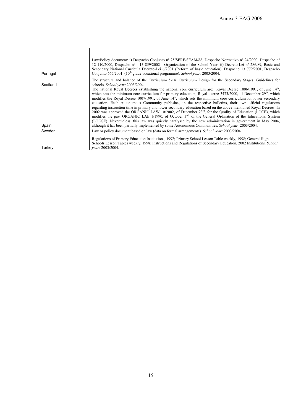| Portugal | Law/Policy document: i) Despacho Conjunto nº 25/SERE/SEAM/88, Despacho Normativo nº 24/2000, Despacho nº<br>12 110/2000, Despacho nº 13 859/2002 - Organization of the School Year; ii) Decreto-Lei nº 286/89, Basic and<br>Secondary National Curricula Decreto-Lei 6/2001 (Reform of basic education), Despacho 13 779/2001, Despacho<br>Conjunto $665/2001$ ( $10th$ grade vocational programme). <i>School year</i> : 2003/2004.                                                                                                                                                                                                                                                                                                                                                                                                                                                                                                                                               |
|----------|------------------------------------------------------------------------------------------------------------------------------------------------------------------------------------------------------------------------------------------------------------------------------------------------------------------------------------------------------------------------------------------------------------------------------------------------------------------------------------------------------------------------------------------------------------------------------------------------------------------------------------------------------------------------------------------------------------------------------------------------------------------------------------------------------------------------------------------------------------------------------------------------------------------------------------------------------------------------------------|
|          | The structure and balance of the Curriculum 5-14. Curriculum Design for the Secondary Stages: Guidelines for                                                                                                                                                                                                                                                                                                                                                                                                                                                                                                                                                                                                                                                                                                                                                                                                                                                                       |
| Scotland | schools. School year: 2003/2004.<br>The national Royal Decrees establishing the national core curriculum are: Royal Decree 1006/1991, of June $14th$ ,<br>which sets the minimum core curriculum for primary education, Royal decree $3473/2000$ , of December $29th$ , which<br>modifies the Royal Decree 1007/1991, of June $14th$ , which sets the minimum core curriculum for lower secondary<br>education. Each Autonomous Community publishes, in the respective bulletins, their own official regulations<br>regarding instruction time in primary and lower secondary education based on the above-mentioned Royal Decrees. In<br>2002 was approved the ORGANIC LAW 10/2002, of December $23rd$ , for the Quality of Education (LOCE), which<br>modifies the past ORGANIC LAE 1/1990, of October $3rd$ , of the General Ordination of the Educational System<br>(LOGSE). Nevertheless, this law was quickly paralysed by the new administration in government in May 2004, |
| Spain    | although it has been partially implemented by some Autonomous Communities. <i>School year:</i> 2003/2004.                                                                                                                                                                                                                                                                                                                                                                                                                                                                                                                                                                                                                                                                                                                                                                                                                                                                          |
| Sweden   | Law or policy document based on law (data on formal arrangements). <i>School year</i> : 2003/2004.                                                                                                                                                                                                                                                                                                                                                                                                                                                                                                                                                                                                                                                                                                                                                                                                                                                                                 |
|          | Regulations of Primary Education Institutions, 1992; Primary School Lesson Table weekly, 1998; General High<br>Schools Lesson Tables weekly, 1998; Instructions and Regulations of Secondary Education, 2002 Institutions. School                                                                                                                                                                                                                                                                                                                                                                                                                                                                                                                                                                                                                                                                                                                                                  |
| Turkey   | vear: 2003/2004.                                                                                                                                                                                                                                                                                                                                                                                                                                                                                                                                                                                                                                                                                                                                                                                                                                                                                                                                                                   |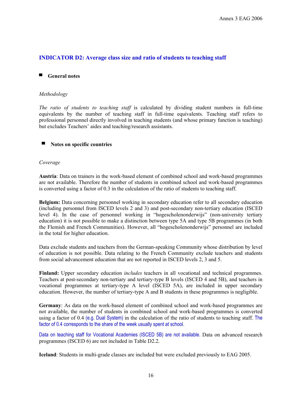## **INDICATOR D2: Average class size and ratio of students to teaching staff**

#### ■ **General notes**

#### *Methodology*

*The ratio of students to teaching staff* is calculated by dividing student numbers in full-time equivalents by the number of teaching staff in full-time equivalents. Teaching staff refers to professional personnel directly involved in teaching students (and whose primary function is teaching) but excludes Teachers' aides and teaching/research assistants.

#### ▀ **Notes on specific countries**

#### *Coverage*

**Austria**: Data on trainers in the work-based element of combined school and work-based programmes are not available. Therefore the number of students in combined school and work-based programmes is converted using a factor of 0.3 in the calculation of the ratio of students to teaching staff.

**Belgium:** Data concerning personnel working in secondary education refer to all secondary education (including personnel from ISCED levels 2 and 3) and post-secondary non-tertiary education (ISCED level 4). In the case of personnel working in "hogescholenonderwijs" (non-university tertiary education) it is not possible to make a distinction between type 5A and type 5B programmes (in both the Flemish and French Communities). However, all "hogescholenonderwijs" personnel are included in the total for higher education.

Data exclude students and teachers from the German-speaking Community whose distribution by level of education is not possible. Data relating to the French Community exclude teachers and students from social advancement education that are not reported in ISCED levels 2, 3 and 5.

**Finland:** Upper secondary education *includes* teachers in all vocational and technical programmes. Teachers at post-secondary non-tertiary and tertiary-type B levels (ISCED 4 and 5B), and teachers in vocational programmes at tertiary-type A level (ISCED 5A), are included in upper secondary education. However, the number of tertiary-type A and B students in these programmes is negligible.

**Germany**: As data on the work-based element of combined school and work-based programmes are not available, the number of students in combined school and work-based programmes is converted using a factor of 0.4 (e.g. Dual System) in the calculation of the ratio of students to teaching staff. The factor of 0.4 corresponds to the share of the week usually spent at school.

Data on teaching staff for Vocational Academies (ISCED 5B) are not available. Data on advanced research programmes (ISCED 6) are not included in Table D2.2.

**Iceland**: Students in multi-grade classes are included but were excluded previously to EAG 2005.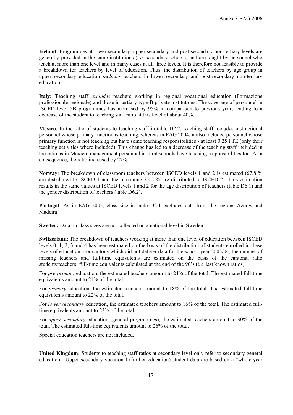**Ireland:** Programmes at lower secondary, upper secondary and post-secondary non-tertiary levels are generally provided in the same institutions (*i.e.* secondary schools) and are taught by personnel who teach at more than one level and in many cases at all three levels. It is therefore not feasible to provide a breakdown for teachers by level of education. Thus, the distribution of teachers by age group in upper secondary education *includes* teachers in lower secondary and post-secondary non-tertiary education.

**Italy:** Teaching staff *excludes* teachers working in regional vocational education (Formazione professionale regionale) and those in tertiary type-B private institutions. The coverage of personnel in ISCED level 5B programmes has increased by 95% in comparison to previous year, leading to a decrease of the student to teaching staff ratio at this level of about 40%.

**Mexico**: In the ratio of students to teaching staff in table D2.2, teaching staff includes instructional personnel whose primary function is teaching, whereas in EAG 2004, it also included personnel whose primary function is not teaching but have some teaching responsibilities - at least 0.25 FTE (only their teaching activities where included). This change has led to a decrease of the teaching staff included in the ratio as in Mexico, management personnel in rural schools have teaching responsibilities too. As a consequence, the ratio increased by 27%.

**Norway**: The breakdown of classroom teachers between ISCED levels 1 and 2 is estimated (67.8 % are distributed to ISCED 1 and the remaining 32.2 % are distributed to ISCED 2). This estimation results in the same values at ISCED levels 1 and 2 for the age distribution of teachers (table D6.1) and the gender distribution of teachers (table D6.2).

**Portugal**: As in EAG 2005, class size in table D2.1 excludes data from the regions Azores and Madeira

**Sweden:** Data on class sizes are not collected on a national level in Sweden.

**Switzerland**: The breakdown of teachers working at more than one level of education between ISCED levels 0, 1, 2, 3 and 4 has been estimated on the basis of the distribution of students enrolled in these levels of education. For cantons which did not deliver data for the school year 2003/04, the number of missing teachers and full-time equivalents are estimated on the basis of the cantonal ratio students/teachers' full-time equivalents calculated at the end of the 90's (*i.e.* last known ratios).

For *pre-primary* education, the estimated teachers amount to 24% of the total. The estimated full-time equivalents amount to 24% of the total.

For *primary* education, the estimated teachers amount to 18% of the total. The estimated full-time equivalents amount to 22% of the total.

For *lower secondary* education, the estimated teachers amount to 16% of the total. The estimated fulltime equivalents amount to 23% of the total.

For *upper secondary* education (general programmes), the estimated teachers amount to 30% of the total. The estimated full-time equivalents amount to 26% of the total.

Special education teachers are not included.

**United Kingdom:** Students to teaching staff ratios at secondary level only refer to secondary general education. Upper secondary vocational (further education) student data are based on a "whole-year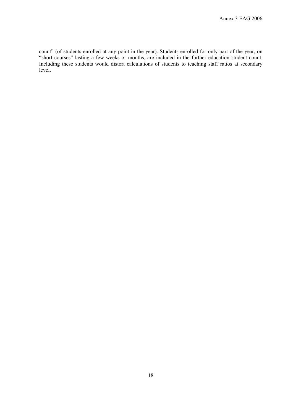count" (of students enrolled at any point in the year). Students enrolled for only part of the year, on "short courses" lasting a few weeks or months, are included in the further education student count. Including these students would distort calculations of students to teaching staff ratios at secondary level.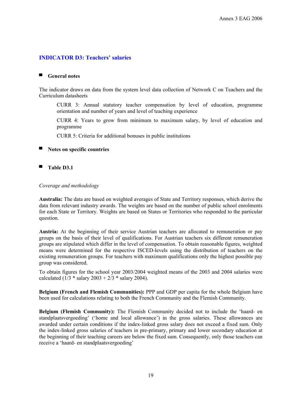## **INDICATOR D3: Teachers' salaries**

#### ■ **General notes**

The indicator draws on data from the system level data collection of Network C on Teachers and the Curriculum datasheets

CURR 3: Annual statutory teacher compensation by level of education, programme orientation and number of years and level of teaching experience

CURR 4: Years to grow from minimum to maximum salary, by level of education and programme

CURR 5: Criteria for additional bonuses in public institutions

#### ▀ **Notes on specific countries**

■ Table D3.1

#### *Coverage and methodology*

**Australia:** The data are based on weighted averages of State and Territory responses, which derive the data from relevant industry awards. The weights are based on the number of public school enrolments for each State or Territory. Weights are based on States or Territories who responded to the particular question.

**Austria:** At the beginning of their service Austrian teachers are allocated to remuneration or pay groups on the basis of their level of qualifications. For Austrian teachers six different remuneration groups are stipulated which differ in the level of compensation. To obtain reasonable figures, weighted means were determined for the respective ISCED-levels using the distribution of teachers on the existing remuneration groups. For teachers with maximum qualifications only the highest possible pay group was considered.

To obtain figures for the school year 2003/2004 weighted means of the 2003 and 2004 salaries were calculated (1/3  $*$  salary 2003 + 2/3  $*$  salary 2004).

**Belgium (French and Flemish Communities):** PPP and GDP per capita for the whole Belgium have been used for calculations relating to both the French Community and the Flemish Community.

**Belgium (Flemish Community):** The Flemish Community decided not to include the 'haard- en standplaatsvergoeding' ('home and local allowance') in the gross salaries. These allowances are awarded under certain conditions if the index-linked gross salary does not exceed a fixed sum. Only the index-linked gross salaries of teachers in pre-primary, primary and lower secondary education at the beginning of their teaching careers are below the fixed sum. Consequently, only those teachers can receive a 'haard- en standplaatsvergoeding'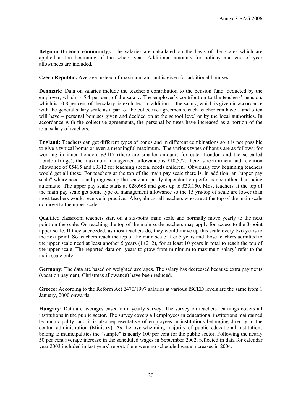**Belgium (French community):** The salaries are calculated on the basis of the scales which are applied at the beginning of the school year. Additional amounts for holiday and end of year allowances are included.

**Czech Republic:** Average instead of maximum amount is given for additional bonuses.

**Denmark:** Data on salaries include the teacher's contribution to the pension fund, deducted by the employer, which is 5.4 per cent of the salary. The employer's contribution to the teachers' pension, which is 10.8 per cent of the salary, is excluded. In addition to the salary, which is given in accordance with the general salary scale as a part of the collective agreements, each teacher can have – and often will have – personal bonuses given and decided on at the school level or by the local authorities. In accordance with the collective agreements, the personal bonuses have increased as a portion of the total salary of teachers.

**England:** Teachers can get different types of bonus and in different combinations so it is not possible to give a typical bonus or even a meaningful maximum. The various types of bonus are as follows: for working in inner London, £3417 (there are smaller amounts for outer London and the so-called London fringe); the maximum management allowance is £10,572; there is recruitment and retention allowance of £5415 and £3312 for teaching special needs children. Obviously few beginning teachers would get all these. For teachers at the top of the main pay scale there is, in addition, an "upper pay scale" where access and progress up the scale are partly dependent on performance rather than being automatic. The upper pay scale starts at £28,668 and goes up to £33,150. Most teachers at the top of the main pay scale get some type of management allowance so the 15 yrs/top of scale are lower than most teachers would receive in practice. Also, almost all teachers who are at the top of the main scale do move to the upper scale.

Qualified classroom teachers start on a six-point main scale and normally move yearly to the next point on the scale. On reaching the top of the main scale teachers may apply for access to the 3-point upper scale. If they succeeded, as most teachers do, they would move up this scale every two years to the next point. So teachers reach the top of the main scale after 5 years and those teachers admitted to the upper scale need at least another 5 years  $(1+2+2)$ , for at least 10 years in total to reach the top of the upper scale. The reported data on 'years to grow from minimum to maximum salary' refer to the main scale only.

**Germany:** The data are based on weighted averages. The salary has decreased because extra payments (vacation payment, Christmas allowance) have been reduced.

**Greece:** According to the Reform Act 2470/1997 salaries at various ISCED levels are the same from 1 January, 2000 onwards.

**Hungary:** Data are averages based on a yearly survey. The survey on teachers' earnings covers all institutions in the public sector. The survey covers all employees in educational institutions maintained by municipality, and it is also representative of employees in institutions belonging directly to the central administration (Ministry). As the overwhelming majority of public educational institutions belong to municipalities the "sample" is nearly 100 per cent for the public sector. Following the nearly 50 per cent average increase in the scheduled wages in September 2002, reflected in data for calendar year 2003 included in last years' report, there were no scheduled wage increases in 2004.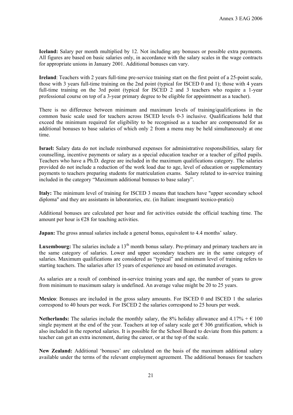**Iceland:** Salary per month multiplied by 12. Not including any bonuses or possible extra payments. All figures are based on basic salaries only, in accordance with the salary scales in the wage contracts for appropriate unions in January 2001. Additional bonuses can vary.

**Ireland**: Teachers with 2 years full-time pre-service training start on the first point of a 25-point scale, those with 3 years full-time training on the 2nd point (typical for ISCED 0 and 1); those with 4 years full-time training on the 3rd point (typical for ISCED 2 and 3 teachers who require a 1-year professional course on top of a 3-year primary degree to be eligible for appointment as a teacher).

There is no difference between minimum and maximum levels of training/qualifications in the common basic scale used for teachers across ISCED levels 0-3 inclusive. Qualifications held that exceed the minimum required for eligibility to be recognised as a teacher are compensated for as additional bonuses to base salaries of which only 2 from a menu may be held simultaneously at one time.

**Israel:** Salary data do not include reimbursed expenses for administrative responsibilities, salary for counselling, incentive payments or salary as a special education teacher or a teacher of gifted pupils. Teachers who have a Ph.D. degree are included in the maximum qualifications category. The salaries provided do not include a reduction of the work load due to age, level of education or supplementary payments to teachers preparing students for matriculation exams. Salary related to in-service training included in the category "Maximum additional bonuses to base salary".

**Italy:** The minimum level of training for ISCED 3 means that teachers have "upper secondary school diploma" and they are assistants in laboratories, etc. (in Italian: insegnanti tecnico-pratici)

Additional bonuses are calculated per hour and for activities outside the official teaching time. The amount per hour is  $\epsilon$ 28 for teaching activities.

**Japan:** The gross annual salaries include a general bonus, equivalent to 4.4 months' salary.

**Luxembourg:** The salaries include a 13<sup>th</sup> month bonus salary. Pre-primary and primary teachers are in the same category of salaries. Lower and upper secondary teachers are in the same category of salaries. Maximum qualifications are considered as "typical" and minimum level of training refers to starting teachers. The salaries after 15 years of experience are based on estimated averages.

As salaries are a result of combined in-service training years and age, the number of years to grow from minimum to maximum salary is undefined. An average value might be 20 to 25 years.

**Mexico**: Bonuses are included in the gross salary amounts. For ISCED 0 and ISCED 1 the salaries correspond to 40 hours per week. For ISCED 2 the salaries correspond to 25 hours per week.

**Netherlands:** The salaries include the monthly salary, the 8% holiday allowance and  $4.17\% + \text{\textsterling}100$ single payment at the end of the year. Teachers at top of salary scale get  $\epsilon$  306 gratification, which is also included in the reported salaries. It is possible for the School Board to deviate from this pattern: a teacher can get an extra increment, during the career, or at the top of the scale.

**New Zealand:** Additional 'bonuses' are calculated on the basis of the maximum additional salary available under the terms of the relevant employment agreement. The additional bonuses for teachers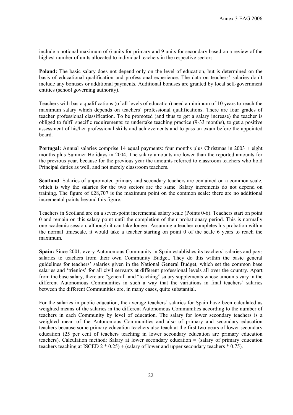include a notional maximum of 6 units for primary and 9 units for secondary based on a review of the highest number of units allocated to individual teachers in the respective sectors.

**Poland:** The basic salary does not depend only on the level of education, but is determined on the basis of educational qualification and professional experience. The data on teachers' salaries don't include any bonuses or additional payments. Additional bonuses are granted by local self-government entities (school governing authority).

Teachers with basic qualifications (of all levels of education) need a minimum of 10 years to reach the maximum salary which depends on teachers' professional qualifications. There are four grades of teacher professional classification. To be promoted (and thus to get a salary increase) the teacher is obliged to fulfil specific requirements: to undertake teaching practice (9-33 months), to get a positive assessment of his/her professional skills and achievements and to pass an exam before the appointed board.

**Portugal:** Annual salaries comprise 14 equal payments: four months plus Christmas in 2003 + eight months plus Summer Holidays in 2004. The salary amounts are lower than the reported amounts for the previous year, because for the previous year the amounts referred to classroom teachers who hold Principal duties as well, and not merely classroom teachers.

**Scotland**: Salaries of unpromoted primary and secondary teachers are contained on a common scale, which is why the salaries for the two sectors are the same. Salary increments do not depend on training. The figure of £28,707 is the maximum point on the common scale: there are no additional incremental points beyond this figure.

Teachers in Scotland are on a seven-point incremental salary scale (Points 0-6). Teachers start on point 0 and remain on this salary point until the completion of their probationary period. This is normally one academic session, although it can take longer. Assuming a teacher completes his probation within the normal timescale, it would take a teacher starting on point 0 of the scale 6 years to reach the maximum.

**Spain:** Since 2001, every Autonomous Community in Spain establishes its teachers' salaries and pays salaries to teachers from their own Community Budget. They do this within the basic general guidelines for teachers' salaries given in the National General Budget, which set the common base salaries and 'trienios' for all civil servants at different professional levels all over the country. Apart from the base salary, there are "general" and "teaching" salary supplements whose amounts vary in the different Autonomous Communities in such a way that the variations in final teachers' salaries between the different Communities are, in many cases, quite substantial.

For the salaries in public education, the average teachers' salaries for Spain have been calculated as weighted means of the salaries in the different Autonomous Communities according to the number of teachers in each Community by level of education. The salary for lower secondary teachers is a weighted mean of the Autonomous Communities and also of primary and secondary education teachers because some primary education teachers also teach at the first two years of lower secondary education (25 per cent of teachers teaching in lower secondary education are primary education teachers). Calculation method: Salary at lower secondary education = (salary of primary education teachers teaching at ISCED  $2 * 0.25$  + (salary of lower and upper secondary teachers  $* 0.75$ ).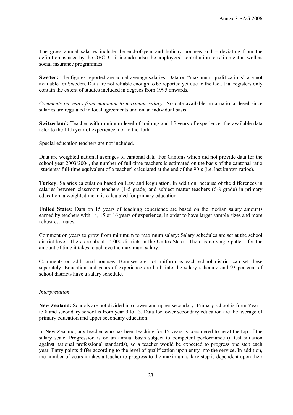The gross annual salaries include the end-of-year and holiday bonuses and – deviating from the definition as used by the OECD – it includes also the employers' contribution to retirement as well as social insurance programmes.

**Sweden:** The figures reported are actual average salaries. Data on "maximum qualifications" are not available for Sweden. Data are not reliable enough to be reported yet due to the fact, that registers only contain the extent of studies included in degrees from 1995 onwards.

*Comments on years from minimum to maximum salary:* No data available on a national level since salaries are regulated in local agreements and on an individual basis.

**Switzerland:** Teacher with minimum level of training and 15 years of experience: the available data refer to the 11th year of experience, not to the 15th

Special education teachers are not included.

Data are weighted national averages of cantonal data. For Cantons which did not provide data for the school year 2003/2004, the number of full-time teachers is estimated on the basis of the cantonal ratio 'students/ full-time equivalent of a teacher' calculated at the end of the 90's (i.e. last known ratios).

**Turkey:** Salaries calculation based on Law and Regulation. In addition, because of the differences in salaries between classroom teachers (1-5 grade) and subject matter teachers (6-8 grade) in primary education, a weighted mean is calculated for primary education.

**United States:** Data on 15 years of teaching experience are based on the median salary amounts earned by teachers with 14, 15 or 16 years of experience, in order to have larger sample sizes and more robust estimates.

Comment on years to grow from minimum to maximum salary: Salary schedules are set at the school district level. There are about 15,000 districts in the Unites States. There is no single pattern for the amount of time it takes to achieve the maximum salary.

Comments on additional bonuses: Bonuses are not uniform as each school district can set these separately. Education and years of experience are built into the salary schedule and 93 per cent of school districts have a salary schedule.

#### *Interpretation*

**New Zealand:** Schools are not divided into lower and upper secondary. Primary school is from Year 1 to 8 and secondary school is from year 9 to 13. Data for lower secondary education are the average of primary education and upper secondary education.

In New Zealand, any teacher who has been teaching for 15 years is considered to be at the top of the salary scale. Progression is on an annual basis subject to competent performance (a test situation against national professional standards), so a teacher would be expected to progress one step each year. Entry points differ according to the level of qualification upon entry into the service. In addition, the number of years it takes a teacher to progress to the maximum salary step is dependent upon their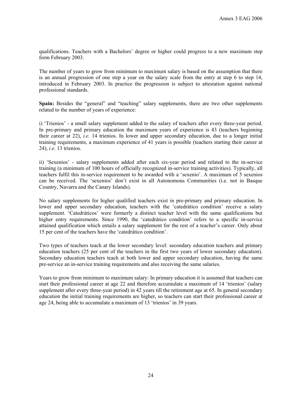qualifications. Teachers with a Bachelors' degree or higher could progress to a new maximum step form February 2003.

The number of years to grow from minimum to maximum salary is based on the assumption that there is an annual progression of one step a year on the salary scale from the entry at step 6 to step 14, introduced in February 2003. In practice the progression is subject to attestation against national professional standards.

Spain: Besides the "general" and "teaching" salary supplements, there are two other supplements related to the number of years of experience:

i) 'Trienios' - a small salary supplement added to the salary of teachers after every three-year period. In pre-primary and primary education the maximum years of experience is 43 (teachers beginning their career at 22), *i.e.* 14 trienios. In lower and upper secondary education, due to a longer initial training requirements, a maximum experience of 41 years is possible (teachers starting their career at 24), *i.e.* 13 trienios.

ii) 'Sexenios' - salary supplements added after each six-year period and related to the in-service training (a minimum of 100 hours of officially recognized in-service training activities). Typically, all teachers fulfil this in-service requirement to be awarded with a 'sexenio'. A maximum of 5 sexenios can be received. The 'sexenios' don't exist in all Autonomous Communities (i.e. not in Basque Country, Navarra and the Canary Islands).

No salary supplements for higher qualified teachers exist in pre-primary and primary education. In lower and upper secondary education, teachers with the 'catedrático condition' receive a salary supplement. 'Catedráticos' were formerly a distinct teacher level with the same qualifications but higher entry requirements. Since 1990, the 'catedrático condition' refers to a specific in-service attained qualification which entails a salary supplement for the rest of a teacher's career. Only about 15 per cent of the teachers have the 'catedrático condition'.

Two types of teachers teach at the lower secondary level: secondary education teachers and primary education teachers (25 per cent of the teachers in the first two years of lower secondary education). Secondary education teachers teach at both lower and upper secondary education, having the same pre-service an in-service training requirements and also receiving the same salaries.

Years to grow from minimum to maximum salary: In primary education it is assumed that teachers can start their professional career at age 22 and therefore accumulate a maximum of 14 'trienios' (salary supplement after every three-year period) in 42 years till the retirement age at 65. In general secondary education the initial training requirements are higher, so teachers can start their professional career at age 24, being able to accumulate a maximum of 13 'trienios' in 39 years.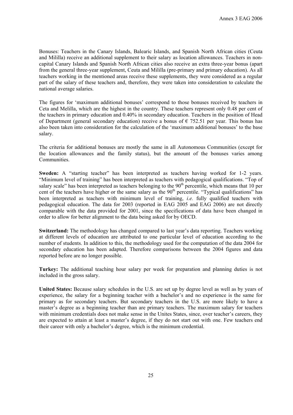Bonuses: Teachers in the Canary Islands, Balearic Islands, and Spanish North African cities (Ceuta and Mililla) receive an additional supplement to their salary as location allowances. Teachers in noncapital Canary Islands and Spanish North African cities also receive an extra three-year bonus (apart from the general three-year supplement, Ceuta and Mililla (pre-primary and primary education). As all teachers working in the mentioned areas receive these supplements, they were considered as a regular part of the salary of these teachers and, therefore, they were taken into consideration to calculate the national average salaries.

The figures for 'maximum additional bonuses' correspond to those bonuses received by teachers in Ceta and Melilla, which are the highest in the country. These teachers represent only 0.48 per cent of the teachers in primary education and 0.40% in secondary education. Teachers in the position of Head of Department (general secondary education) receive a bonus of  $\epsilon$  752.51 per year. This bonus has also been taken into consideration for the calculation of the 'maximum additional bonuses' to the base salary.

The criteria for additional bonuses are mostly the same in all Autonomous Communities (except for the location allowances and the family status), but the amount of the bonuses varies among Communities.

**Sweden:** A "starting teacher" has been interpreted as teachers having worked for 1-2 years. "Minimum level of training" has been interpreted as teachers with pedagogical qualifications. "Top of salary scale" has been interpreted as teachers belonging to the  $90<sup>th</sup>$  percentile, which means that 10 per cent of the teachers have higher or the same salary as the  $90<sup>th</sup>$  percentile. "Typical qualifications" has been interpreted as teachers with minimum level of training, *i.e.* fully qualified teachers with pedagogical education. The data for 2003 (reported in EAG 2005 and EAG 2006) are not directly comparable with the data provided for 2001, since the specifications of data have been changed in order to allow for better alignment to the data being asked for by OECD.

**Switzerland:** The methodology has changed compared to last year's data reporting. Teachers working at different levels of education are attributed to one particular level of education according to the number of students. In addition to this, the methodology used for the computation of the data 2004 for secondary education has been adapted. Therefore comparisons between the 2004 figures and data reported before are no longer possible.

**Turkey:** The additional teaching hour salary per week for preparation and planning duties is not included in the gross salary.

**United States:** Because salary schedules in the U.S. are set up by degree level as well as by years of experience, the salary for a beginning teacher with a bachelor's and no experience is the same for primary as for secondary teachers. But secondary teachers in the U.S. are more likely to have a master's degree as a beginning teacher than are primary teachers. The maximum salary for teachers with minimum credentials does not make sense in the Unites States, since, over teacher's careers, they are expected to attain at least a master's degree, if they do not start out with one. Few teachers end their career with only a bachelor's degree, which is the minimum credential.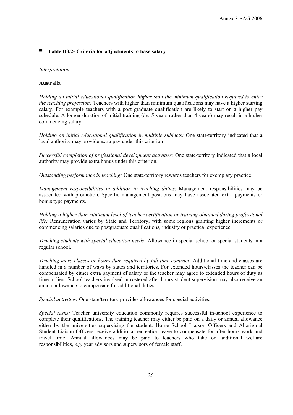#### ▀ **Table D3.2- Criteria for adjustments to base salary**

#### *Interpretation*

#### **Australia**

*Holding an initial educational qualification higher than the minimum qualification required to enter the teaching profession:* Teachers with higher than minimum qualifications may have a higher starting salary. For example teachers with a post graduate qualification are likely to start on a higher pay schedule. A longer duration of initial training (*i.e.* 5 years rather than 4 years) may result in a higher commencing salary.

*Holding an initial educational qualification in multiple subjects:* One state/territory indicated that a local authority may provide extra pay under this criterion

*Successful completion of professional development activities:* One state/territory indicated that a local authority may provide extra bonus under this criterion.

*Outstanding performance in teaching:* One state/territory rewards teachers for exemplary practice.

*Management responsibilities in addition to teaching duties*: Management responsibilities may be associated with promotion. Specific management positions may have associated extra payments or bonus type payments.

*Holding a higher than minimum level of teacher certification or training obtained during professional life:* Remuneration varies by State and Territory, with some regions granting higher increments or commencing salaries due to postgraduate qualifications, industry or practical experience.

*Teaching students with special education needs:* Allowance in special school or special students in a regular school.

*Teaching more classes or hours than required by full-time contract:* Additional time and classes are handled in a number of ways by states and territories. For extended hours/classes the teacher can be compensated by either extra payment of salary or the teacher may agree to extended hours of duty as time in lieu. School teachers involved in rostered after hours student supervision may also receive an annual allowance to compensate for additional duties.

*Special activities:* One state/territory provides allowances for special activities.

*Special tasks:* Teacher university education commonly requires successful in-school experience to complete their qualifications. The training teacher may either be paid on a daily or annual allowance either by the universities supervising the student. Home School Liaison Officers and Aboriginal Student Liaison Officers receive additional recreation leave to compensate for after hours work and travel time. Annual allowances may be paid to teachers who take on additional welfare responsibilities, *e.g.* year advisors and supervisors of female staff.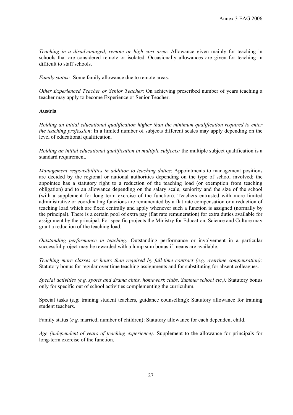*Teaching in a disadvantaged, remote or high cost area:* Allowance given mainly for teaching in schools that are considered remote or isolated. Occasionally allowances are given for teaching in difficult to staff schools.

*Family status:* Some family allowance due to remote areas.

*Other Experienced Teacher or Senior Teacher*: On achieving prescribed number of years teaching a teacher may apply to become Experience or Senior Teacher.

#### **Austria**

*Holding an initial educational qualification higher than the minimum qualification required to enter the teaching profession*: In a limited number of subjects different scales may apply depending on the level of educational qualification.

*Holding an initial educational qualification in multiple subjects:* the multiple subject qualification is a standard requirement.

*Management responsibilities in addition to teaching duties*: Appointments to management positions are decided by the regional or national authorities depending on the type of school involved; the appointee has a statutory right to a reduction of the teaching load (or exemption from teaching obligation) and to an allowance depending on the salary scale, seniority and the size of the school (with a supplement for long term exercise of the function). Teachers entrusted with more limited administrative or coordinating functions are remunerated by a flat rate compensation or a reduction of teaching load which are fixed centrally and apply whenever such a function is assigned (normally by the principal). There is a certain pool of extra pay (flat rate remuneration) for extra duties available for assignment by the principal. For specific projects the Ministry for Education, Science and Culture may grant a reduction of the teaching load.

*Outstanding performance in teaching:* Outstanding performance or involvement in a particular successful project may be rewarded with a lump sum bonus if means are available.

*Teaching more classes or hours than required by full-time contract (e.g. overtime compensation):* Statutory bonus for regular over time teaching assignments and for substituting for absent colleagues.

*Special activities (e.g. sports and drama clubs, homework clubs, Summer school etc.):* Statutory bonus only for specific out of school activities complementing the curriculum.

Special tasks (*e.g.* training student teachers, guidance counselling): Statutory allowance for training student teachers

Family status (*e.g.* married, number of children): Statutory allowance for each dependent child.

*Age (independent of years of teaching experience):* Supplement to the allowance for principals for long-term exercise of the function.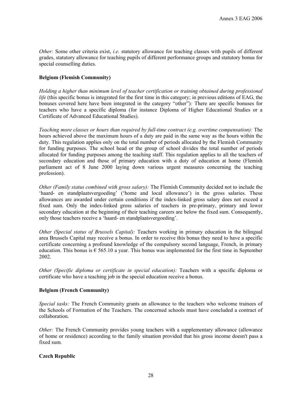*Other:* Some other criteria exist, *i.e.* statutory allowance for teaching classes with pupils of different grades, statutory allowance for teaching pupils of different performance groups and statutory bonus for special counselling duties.

#### **Belgium (Flemish Community)**

*Holding a higher than minimum level of teacher certification or training obtained during professional life* (this specific bonus is integrated for the first time in this category; in previous editions of EAG, the bonuses covered here have been integrated in the category "other")*:* There are specific bonuses for teachers who have a specific diploma (for instance Diploma of Higher Educational Studies or a Certificate of Advanced Educational Studies).

*Teaching more classes or hours than required by full-time contract (e.g. overtime compensation):* The hours achieved above the maximum hours of a duty are paid in the same way as the hours within the duty. This regulation applies only on the total number of periods allocated by the Flemish Community for funding purposes. The school head or the group of school divides the total number of periods allocated for funding purposes among the teaching staff. This regulation applies to all the teachers of secondary education and those of primary education with a duty of education at home (Flemish parliament act of 8 June 2000 laying down various urgent measures concerning the teaching profession).

*Other (Family status combined with gross salary):* The Flemish Community decided not to include the 'haard- en standplaatsvergoeding' ('home and local allowance') in the gross salaries. These allowances are awarded under certain conditions if the index-linked gross salary does not exceed a fixed sum. Only the index-linked gross salaries of teachers in pre-primary, primary and lower secondary education at the beginning of their teaching careers are below the fixed sum. Consequently, only those teachers receive a 'haard- en standplaatsvergoeding'.

*Other (Special status of Brussels Capital):* Teachers working in primary education in the bilingual area Brussels Capital may receive a bonus. In order to receive this bonus they need to have a specific certificate concerning a profound knowledge of the compulsory second language, French, in primary education. This bonus is  $\epsilon$  565.10 a year. This bonus was implemented for the first time in September 2002.

*Other (Specific diploma or certificate in special education):* Teachers with a specific diploma or certificate who have a teaching job in the special education receive a bonus.

#### **Belgium (French Community)**

*Special tasks:* The French Community grants an allowance to the teachers who welcome trainees of the Schools of Formation of the Teachers. The concerned schools must have concluded a contract of collaboration.

*Other:* The French Community provides young teachers with a supplementary allowance (allowance) of home or residence) according to the family situation provided that his gross income doesn't pass a fixed sum.

#### **Czech Republic**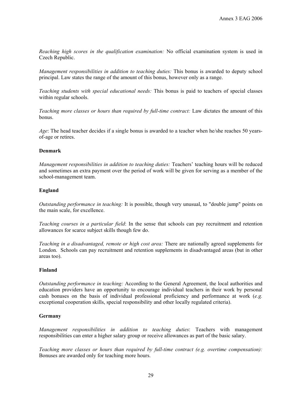*Reaching high scores in the qualification examination:* No official examination system is used in Czech Republic.

*Management responsibilities in addition to teaching duties:* This bonus is awarded to deputy school principal. Law states the range of the amount of this bonus, however only as a range.

*Teaching students with special educational needs:* This bonus is paid to teachers of special classes within regular schools.

*Teaching more classes or hours than required by full-time contract:* Law dictates the amount of this bonus.

*Age*: The head teacher decides if a single bonus is awarded to a teacher when he/she reaches 50 yearsof-age or retires.

#### **Denmark**

*Management responsibilities in addition to teaching duties:* Teachers' teaching hours will be reduced and sometimes an extra payment over the period of work will be given for serving as a member of the school-management team.

#### **England**

*Outstanding performance in teaching:* It is possible, though very unusual, to "double jump" points on the main scale, for excellence.

*Teaching courses in a particular field*: In the sense that schools can pay recruitment and retention allowances for scarce subject skills though few do.

*Teaching in a disadvantaged, remote or high cost area:* There are nationally agreed supplements for London. Schools can pay recruitment and retention supplements in disadvantaged areas (but in other areas too).

#### **Finland**

*Outstanding performance in teaching:* According to the General Agreement, the local authorities and education providers have an opportunity to encourage individual teachers in their work by personal cash bonuses on the basis of individual professional proficiency and performance at work (*e.g.* exceptional cooperation skills, special responsibility and other locally regulated criteria).

#### **Germany**

*Management responsibilities in addition to teaching duties*: Teachers with management responsibilities can enter a higher salary group or receive allowances as part of the basic salary.

*Teaching more classes or hours than required by full-time contract (e.g. overtime compensation):* Bonuses are awarded only for teaching more hours.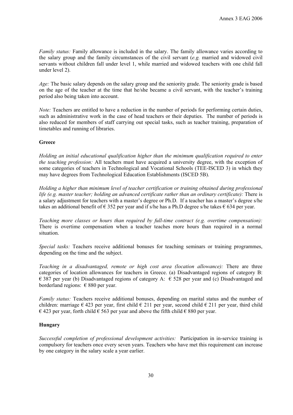*Family status:* Family allowance is included in the salary. The family allowance varies according to the salary group and the family circumstances of the civil servant (*e.g.* married and widowed civil servants without children fall under level 1, while married and widowed teachers with one child fall under level 2).

*Age:* The basic salary depends on the salary group and the seniority grade. The seniority grade is based on the age of the teacher at the time that he/she became a civil servant, with the teacher's training period also being taken into account.

*Note:* Teachers are entitled to have a reduction in the number of periods for performing certain duties, such as administrative work in the case of head teachers or their deputies. The number of periods is also reduced for members of staff carrying out special tasks, such as teacher training, preparation of timetables and running of libraries.

#### **Greece**

*Holding an initial educational qualification higher than the minimum qualification required to enter the teaching profession:* All teachers must have acquired a university degree, with the exception of some categories of teachers in Technological and Vocational Schools (TEE-ISCED 3) in which they may have degrees from Technological Education Establishments (ISCED 5B).

*Holding a higher than minimum level of teacher certification or training obtained during professional life (e.g. master teacher; holding an advanced certificate rather than an ordinary certificate):* There is a salary adjustment for teachers with a master's degree or Ph.D. If a teacher has a master's degree s/he takes an additional benefit of  $\epsilon$  352 per year and if s/he has a Ph.D degree s/he takes  $\epsilon$  634 per year.

*Teaching more classes or hours than required by full-time contract (e.g. overtime compensation):* There is overtime compensation when a teacher teaches more hours than required in a normal situation.

*Special tasks:* Teachers receive additional bonuses for teaching seminars or training programmes, depending on the time and the subject.

*Teaching in a disadvantaged, remote or high cost area (location allowance):* There are three categories of location allowances for teachers in Greece. (a) Disadvantaged regions of category B:  $\epsilon$  387 per year (b) Disadvantaged regions of category A:  $\epsilon$  528 per year and (c) Disadvantaged and borderland regions:  $\epsilon$  880 per year.

*Family status:* Teachers receive additional bonuses, depending on marital status and the number of children: marriage  $\epsilon$  423 per year, first child  $\epsilon$  211 per year, second child  $\epsilon$  211 per year, third child € 423 per year, forth child  $∈$  563 per year and above the fifth child  $∈$  880 per year.

#### **Hungary**

*Successful completion of professional development activities:* Participation in in-service training is compulsory for teachers once every seven years. Teachers who have met this requirement can increase by one category in the salary scale a year earlier.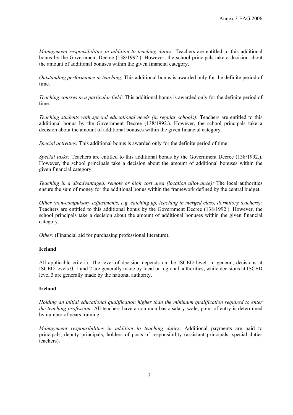*Management responsibilities in addition to teaching duties:* Teachers are entitled to this additional bonus by the Government Decree (138/1992.). However, the school principals take a decision about the amount of additional bonuses within the given financial category.

*Outstanding performance in teaching*: This additional bonus is awarded only for the definite period of time.

*Teaching courses in a particular field:* This additional bonus is awarded only for the definite period of time.

*Teaching students with special educational needs (in regular schools):* Teachers are entitled to this additional bonus by the Government Decree (138/1992.). However, the school principals take a decision about the amount of additional bonuses within the given financial category.

*Special activities:* This additional bonus is awarded only for the definite period of time.

*Special tasks:* Teachers are entitled to this additional bonus by the Government Decree (138/1992.). However, the school principals take a decision about the amount of additional bonuses within the given financial category.

*Teaching in a disadvantaged, remote or high cost area (location allowance):* The local authorities ensure the sum of money for the additional bonus within the framework defined by the central budget.

*Other (non-compulsory adjustments, e.g. catching up, teaching in merged class, dormitory teachers):*  Teachers are entitled to this additional bonus by the Government Decree (138/1992.). However, the school principals take a decision about the amount of additional bonuses within the given financial category.

*Other:* (Financial aid for purchasing professional literature).

#### **Iceland**

All applicable criteria: The level of decision depends on the ISCED level. In general, decisions at ISCED levels 0, 1 and 2 are generally made by local or regional authorities, while decisions at ISCED level 3 are generally made by the national authority.

#### **Ireland**

*Holding an initial educational qualification higher than the minimum qualification required to enter the teaching profession:* All teachers have a common basic salary scale; point of entry is determined by number of years training.

*Management responsibilities in addition to teaching duties*: Additional payments are paid to principals, deputy principals, holders of posts of responsibility (assistant principals, special duties teachers).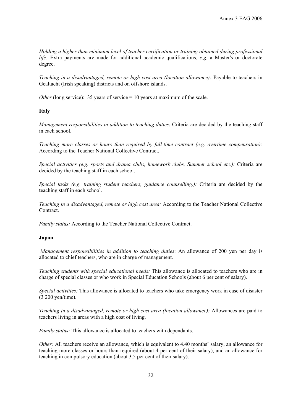*Holding a higher than minimum level of teacher certification or training obtained during professional life:* Extra payments are made for additional academic qualifications, *e.g.* a Master's or doctorate degree.

*Teaching in a disadvantaged, remote or high cost area (location allowance):* Payable to teachers in Gealtacht (Irish speaking) districts and on offshore islands.

*Other* (long service): 35 years of service = 10 years at maximum of the scale.

#### **Italy**

*Management responsibilities in addition to teaching duties*: Criteria are decided by the teaching staff in each school.

*Teaching more classes or hours than required by full-time contract (e.g. overtime compensation):* According to the Teacher National Collective Contract.

*Special activities (e.g. sports and drama clubs, homework clubs, Summer school etc.):* Criteria are decided by the teaching staff in each school.

*Special tasks (e.g. training student teachers, guidance counselling.):* Criteria are decided by the teaching staff in each school.

*Teaching in a disadvantaged, remote or high cost area:* According to the Teacher National Collective Contract.

*Family status:* According to the Teacher National Collective Contract.

#### **Japan**

 *Management responsibilities in addition to teaching duties*: An allowance of 200 yen per day is allocated to chief teachers, who are in charge of management.

*Teaching students with special educational needs:* This allowance is allocated to teachers who are in charge of special classes or who work in Special Education Schools (about 6 per cent of salary).

*Special activities:* This allowance is allocated to teachers who take emergency work in case of disaster (3 200 yen/time).

*Teaching in a disadvantaged, remote or high cost area (location allowance):* Allowances are paid to teachers living in areas with a high cost of living.

*Family status:* This allowance is allocated to teachers with dependants.

*Other:* All teachers receive an allowance, which is equivalent to 4.40 months' salary, an allowance for teaching more classes or hours than required (about 4 per cent of their salary), and an allowance for teaching in compulsory education (about 3.5 per cent of their salary).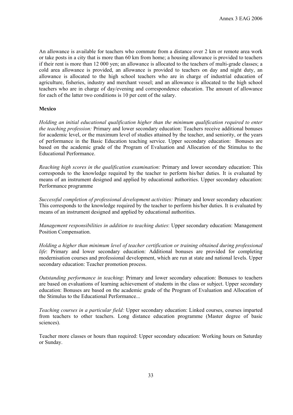An allowance is available for teachers who commute from a distance over 2 km or remote area work or take posts in a city that is more than 60 km from home; a housing allowance is provided to teachers if their rent is more than 12 000 yen; an allowance is allocated to the teachers of multi-grade classes; a cold area allowance is provided, an allowance is provided to teachers on day and night duty, an allowance is allocated to the high school teachers who are in charge of industrial education of agriculture, fisheries, industry and merchant vessel; and an allowance is allocated to the high school teachers who are in charge of day/evening and correspondence education. The amount of allowance for each of the latter two conditions is 10 per cent of the salary.

#### **Mexico**

*Holding an initial educational qualification higher than the minimum qualification required to enter the teaching profession:* Primary and lower secondary education: Teachers receive additional bonuses for academic level, or the maximum level of studies attained by the teacher, and seniority, or the years of performance in the Basic Education teaching service. Upper secondary education: Bonuses are based on the academic grade of the Program of Evaluation and Allocation of the Stimulus to the Educational Performance.

*Reaching high scores in the qualification examination:* Primary and lower secondary education: This corresponds to the knowledge required by the teacher to perform his/her duties. It is evaluated by means of an instrument designed and applied by educational authorities. Upper secondary education: Performance programme

*Successful completion of professional development activities:* Primary and lower secondary education: This corresponds to the knowledge required by the teacher to perform his/her duties. It is evaluated by means of an instrument designed and applied by educational authorities.

*Management responsibilities in addition to teaching duties*: Upper secondary education: Management Position Compensation.

*Holding a higher than minimum level of teacher certification or training obtained during professional life*: Primary and lower secondary education: Additional bonuses are provided for completing modernisation courses and professional development, which are run at state and national levels. Upper secondary education: Teacher promotion process.

*Outstanding performance in teaching*: Primary and lower secondary education: Bonuses to teachers are based on evaluations of learning achievement of students in the class or subject. Upper secondary education: Bonuses are based on the academic grade of the Program of Evaluation and Allocation of the Stimulus to the Educational Performance...

*Teaching courses in a particular field:* Upper secondary education: Linked courses, courses imparted from teachers to other teachers. Long distance education programme (Master degree of basic sciences).

Teacher more classes or hours than required: Upper secondary education: Working hours on Saturday or Sunday.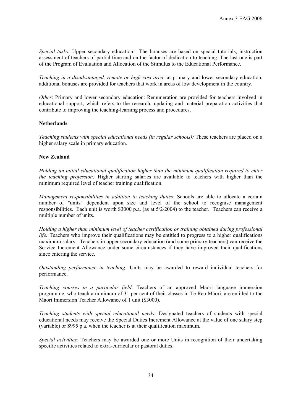*Special tasks:* Upper secondary education: The bonuses are based on special tutorials, instruction assessment of teachers of partial time and on the factor of dedication to teaching. The last one is part of the Program of Evaluation and Allocation of the Stimulus to the Educational Performance.

*Teaching in a disadvantaged, remote or high cost area*: at primary and lower secondary education, additional bonuses are provided for teachers that work in areas of low development in the country.

*Other*: Primary and lower secondary education: Remuneration are provided for teachers involved in educational support, which refers to the research, updating and material preparation activities that contribute to improving the teaching-learning process and procedures.

#### **Netherlands**

*Teaching students with special educational needs (in regular schools):* These teachers are placed on a higher salary scale in primary education.

#### **New Zealand**

*Holding an initial educational qualification higher than the minimum qualification required to enter the teaching profession:* Higher starting salaries are available to teachers with higher than the minimum required level of teacher training qualification.

*Management responsibilities in addition to teaching duties*: Schools are able to allocate a certain number of "units" dependent upon size and level of the school to recognise management responsibilities. Each unit is worth \$3000 p.a. (as at 5/2/2004) to the teacher. Teachers can receive a multiple number of units.

*Holding a higher than minimum level of teacher certification or training obtained during professional life:* Teachers who improve their qualifications may be entitled to progress to a higher qualifications maximum salary. Teachers in upper secondary education (and some primary teachers) can receive the Service Increment Allowance under some circumstances if they have improved their qualifications since entering the service.

*Outstanding performance in teaching:* Units may be awarded to reward individual teachers for performance.

*Teaching courses in a particular field*: Teachers of an approved Mäori language immersion programme, who teach a minimum of 31 per cent of their classes in Te Reo Mäori, are entitled to the Maori Immersion Teacher Allowance of 1 unit (\$3000).

*Teaching students with special educational needs:* Designated teachers of students with special educational needs may receive the Special Duties Increment Allowance at the value of one salary step (variable) or \$995 p.a. when the teacher is at their qualification maximum.

*Special activities:* Teachers may be awarded one or more Units in recognition of their undertaking specific activities related to extra-curricular or pastoral duties.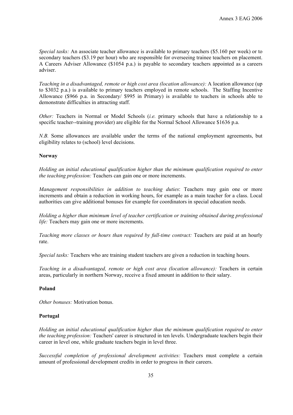*Special tasks:* An associate teacher allowance is available to primary teachers (\$5.160 per week) or to secondary teachers (\$3.19 per hour) who are responsible for overseeing trainee teachers on placement. A Careers Adviser Allowance (\$1054 p.a.) is payable to secondary teachers appointed as a careers adviser.

*Teaching in a disadvantaged, remote or high cost area (location allowance):* A location allowance (up to \$3032 p.a.) is available to primary teachers employed in remote schools. The Staffing Incentive Allowance (\$966 p.a. in Secondary/ \$995 in Primary) is available to teachers in schools able to demonstrate difficulties in attracting staff.

*Other:* Teachers in Normal or Model Schools (*i.e.* primary schools that have a relationship to a specific teacher--training provider) are eligible for the Normal School Allowance \$1636 p.a.

*N.B.* Some allowances are available under the terms of the national employment agreements, but eligibility relates to (school) level decisions.

#### **Norway**

*Holding an initial educational qualification higher than the minimum qualification required to enter the teaching profession:* Teachers can gain one or more increments.

*Management responsibilities in addition to teaching duties*: Teachers may gain one or more increments and obtain a reduction in working hours, for example as a main teacher for a class. Local authorities can give additional bonuses for example for coordinators in special education needs.

*Holding a higher than minimum level of teacher certification or training obtained during professional life:* Teachers may gain one or more increments.

*Teaching more classes or hours than required by full-time contract:* Teachers are paid at an hourly rate.

*Special tasks:* Teachers who are training student teachers are given a reduction in teaching hours.

*Teaching in a disadvantaged, remote or high cost area (location allowance):* Teachers in certain areas, particularly in northern Norway, receive a fixed amount in addition to their salary.

#### **Poland**

*Other bonuses:* Motivation bonus.

#### **Portugal**

*Holding an initial educational qualification higher than the minimum qualification required to enter the teaching profession:* Teachers' career is structured in ten levels. Undergraduate teachers begin their career in level one, while graduate teachers begin in level three.

*Successful completion of professional development activities:* Teachers must complete a certain amount of professional development credits in order to progress in their careers.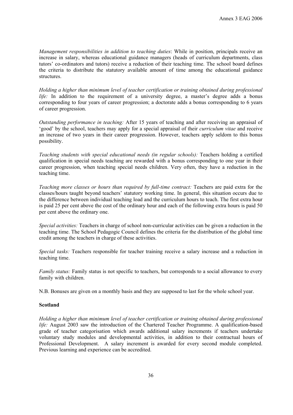*Management responsibilities in addition to teaching duties*: While in position, principals receive an increase in salary, whereas educational guidance managers (heads of curriculum departments, class tutors' co-ordinators and tutors) receive a reduction of their teaching time. The school board defines the criteria to distribute the statutory available amount of time among the educational guidance structures.

*Holding a higher than minimum level of teacher certification or training obtained during professional life:* In addition to the requirement of a university degree, a master's degree adds a bonus corresponding to four years of career progression; a doctorate adds a bonus corresponding to 6 years of career progression.

*Outstanding performance in teaching:* After 15 years of teaching and after receiving an appraisal of 'good' by the school, teachers may apply for a special appraisal of their *curriculum vitae* and receive an increase of two years in their career progression. However, teachers apply seldom to this bonus possibility.

*Teaching students with special educational needs (in regular schools):* Teachers holding a certified qualification in special needs teaching are rewarded with a bonus corresponding to one year in their career progression, when teaching special needs children. Very often, they have a reduction in the teaching time.

*Teaching more classes or hours than required by full-time contract:* Teachers are paid extra for the classes/hours taught beyond teachers' statutory working time. In general, this situation occurs due to the difference between individual teaching load and the curriculum hours to teach. The first extra hour is paid 25 per cent above the cost of the ordinary hour and each of the following extra hours is paid 50 per cent above the ordinary one.

*Special activities:* Teachers in charge of school non-curricular activities can be given a reduction in the teaching time. The School Pedagogic Council defines the criteria for the distribution of the global time credit among the teachers in charge of these activities.

*Special tasks:* Teachers responsible for teacher training receive a salary increase and a reduction in teaching time.

*Family status:* Family status is not specific to teachers, but corresponds to a social allowance to every family with children.

N.B. Bonuses are given on a monthly basis and they are supposed to last for the whole school year.

#### **Scotland**

*Holding a higher than minimum level of teacher certification or training obtained during professional life:* August 2003 saw the introduction of the Chartered Teacher Programme. A qualification-based grade of teacher categorisation which awards additional salary increments if teachers undertake voluntary study modules and developmental activities, in addition to their contractual hours of Professional Development. A salary increment is awarded for every second module completed. Previous learning and experience can be accredited.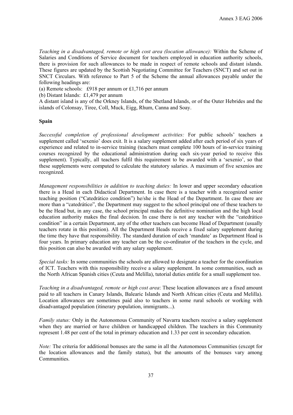*Teaching in a disadvantaged, remote or high cost area (location allowance):* Within the Scheme of Salaries and Conditions of Service document for teachers employed in education authority schools, there is provision for such allowances to be made in respect of remote schools and distant islands. These figures are updated by the Scottish Negotiating Committee for Teachers (SNCT) and set out in SNCT Circulars. With reference to Part 5 of the Scheme the annual allowances payable under the following headings are:

(a) Remote schools: £918 per annum or £1,716 per annum

(b) Distant Islands: £1,479 per annum

A distant island is any of the Orkney Islands, of the Shetland Islands, or of the Outer Hebrides and the islands of Colonsay, Tiree, Coll, Muck, Eigg, Rhum, Canna and Soay.

#### **Spain**

*Successful completion of professional development activities:* For public schools' teachers a supplement called 'sexenio' does exit. It is a salary supplement added after each period of six years of experience and related to in-service training (teachers must complete 100 hours of in-service training courses recognized by the educational administration during each six-year period to receive this supplement). Typically, all teachers fulfil this requirement to be awarded with a 'sexenio', so that these supplements were computed to calculate the statutory salaries. A maximum of five sexenios are recognized.

*Management responsibilities in addition to teaching duties:* In lower and upper secondary education there is a Head in each Didactical Department. In case there is a teacher with a recognized senior teaching position ("Catedrático condition") he/she is the Head of the Department. In case there are more than a "catedrático", the Department may suggest to the school principal one of these teachers to be the Head but, in any case, the school principal makes the definitive nomination and the high local education authority makes the final decision. In case there is not any teacher with the "catedrático condition" in a certain Department, any of the other teachers can become Head of Department (usually teachers rotate in this position). All the Department Heads receive a fixed salary supplement during the time they have that responsibility. The standard duration of each 'mandate' as Department Head is four years. In primary education any teacher can be the co-ordinator of the teachers in the cycle, and this position can also be awarded with any salary supplement.

*Special tasks:* In some communities the schools are allowed to designate a teacher for the coordination of ICT. Teachers with this responsibility receive a salary supplement. In some communities, such as the North African Spanish cities (Ceuta and Melilla), tutorial duties entitle for a small supplement too.

*Teaching in a disadvantaged, remote or high cost area*: These location allowances are a fixed amount paid to all teachers in Canary Islands, Balearic Islands and North African cities (Ceuta and Melilla). Location allowances are sometimes paid also to teachers in some rural schools or working with disadvantaged population (itinerary population, immigrants...).

*Family status:* Only in the Autonomous Community of Navarra teachers receive a salary supplement when they are married or have children or handicapped children. The teachers in this Community represent 1.48 per cent of the total in primary education and 1.33 per cent in secondary education.

*Note:* The criteria for additional bonuses are the same in all the Autonomous Communities (except for the location allowances and the family status), but the amounts of the bonuses vary among Communities.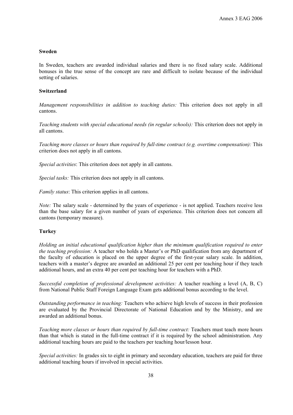#### **Sweden**

In Sweden, teachers are awarded individual salaries and there is no fixed salary scale. Additional bonuses in the true sense of the concept are rare and difficult to isolate because of the individual setting of salaries.

#### **Switzerland**

*Management responsibilities in addition to teaching duties:* This criterion does not apply in all cantons.

*Teaching students with special educational needs (in regular schools):* This criterion does not apply in all cantons.

*Teaching more classes or hours than required by full-time contract (e.g. overtime compensation):* This criterion does not apply in all cantons.

*Special activities*: This criterion does not apply in all cantons.

*Special tasks:* This criterion does not apply in all cantons.

*Family status*: This criterion applies in all cantons.

*Note:* The salary scale - determined by the years of experience - is not applied. Teachers receive less than the base salary for a given number of years of experience. This criterion does not concern all cantons (temporary measure).

#### **Turkey**

*Holding an initial educational qualification higher than the minimum qualification required to enter the teaching profession:* A teacher who holds a Master's or PhD qualification from any department of the faculty of education is placed on the upper degree of the first-year salary scale. In addition, teachers with a master's degree are awarded an additional 25 per cent per teaching hour if they teach additional hours, and an extra 40 per cent per teaching hour for teachers with a PhD.

*Successful completion of professional development activities:* A teacher reaching a level (A, B, C) from National Public Staff Foreign Language Exam gets additional bonus according to the level.

*Outstanding performance in teaching:* Teachers who achieve high levels of success in their profession are evaluated by the Provincial Directorate of National Education and by the Ministry, and are awarded an additional bonus.

*Teaching more classes or hours than required by full-time contract:* Teachers must teach more hours than that which is stated in the full-time contract if it is required by the school administration. Any additional teaching hours are paid to the teachers per teaching hour/lesson hour.

*Special activities:* In grades six to eight in primary and secondary education, teachers are paid for three additional teaching hours if involved in special activities.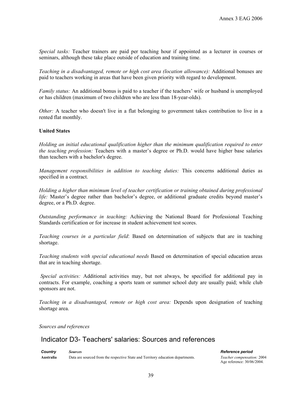*Special tasks:* Teacher trainers are paid per teaching hour if appointed as a lecturer in courses or seminars, although these take place outside of education and training time.

*Teaching in a disadvantaged, remote or high cost area (location allowance):* Additional bonuses are paid to teachers working in areas that have been given priority with regard to development.

*Family status:* An additional bonus is paid to a teacher if the teachers' wife or husband is unemployed or has children (maximum of two children who are less than 18-year-olds).

*Other:* A teacher who doesn't live in a flat belonging to government takes contribution to live in a rented flat monthly.

#### **United States**

*Holding an initial educational qualification higher than the minimum qualification required to enter the teaching profession:* Teachers with a master's degree or Ph.D. would have higher base salaries than teachers with a bachelor's degree.

*Management responsibilities in addition to teaching duties:* This concerns additional duties as specified in a contract.

*Holding a higher than minimum level of teacher certification or training obtained during professional life:* Master's degree rather than bachelor's degree, or additional graduate credits beyond master's degree, or a Ph.D. degree.

*Outstanding performance in teaching:* Achieving the National Board for Professional Teaching Standards certification or for increase in student achievement test scores.

*Teaching courses in a particular field*: Based on determination of subjects that are in teaching shortage.

*Teaching students with special educational needs* Based on determination of special education areas that are in teaching shortage.

 *Special activities:* Additional activities may, but not always, be specified for additional pay in contracts. For example, coaching a sports team or summer school duty are usually paid; while club sponsors are not.

*Teaching in a disadvantaged, remote or high cost area:* Depends upon designation of teaching shortage area.

*Sources and references* 

# Indicator D3- Teachers' salaries: Sources and references

*Country Sources Reference period*  **Australia** Data are sourced from the respective State and Territory education departments. *Teacher compensation:* 2004

Age reference: 30/06/2004.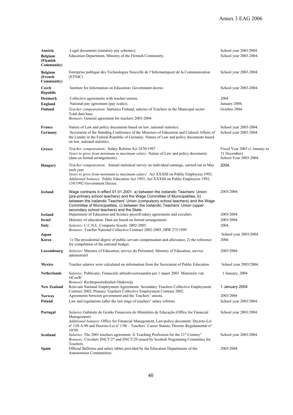| Austria                                  | Legal documents (statutory pay schemes).                                                                                                                                                                                                                                                                                                                                    | School year 2003/2004.                                                    |
|------------------------------------------|-----------------------------------------------------------------------------------------------------------------------------------------------------------------------------------------------------------------------------------------------------------------------------------------------------------------------------------------------------------------------------|---------------------------------------------------------------------------|
| <b>Belgium</b><br>(Flemish<br>Community) | Education Department, Ministry of the Flemish Community.                                                                                                                                                                                                                                                                                                                    | School year 2003-2004.                                                    |
| <b>Belgium</b><br>(French<br>Community)  | Entreprise publique des Technologies Nouvelle de l'Informatique de la Communication<br>(ETNIC)                                                                                                                                                                                                                                                                              | School year 2003-2004.                                                    |
| Czech<br>Republic                        | Institute for Information on Education; Government decree.                                                                                                                                                                                                                                                                                                                  | School year 2003-2004.                                                    |
| Denmark                                  | Collective agreements with teacher-unions.                                                                                                                                                                                                                                                                                                                                  | 2004                                                                      |
| England                                  | National pay agreement (pay scales).                                                                                                                                                                                                                                                                                                                                        | January 2004.                                                             |
| Finland                                  | Teacher compensation: Statistics Finland, salaries of Teachers in the Municipal sector.<br>Total data base<br>Bonuses: General agreement for teachers 2003-2004.                                                                                                                                                                                                            | October 2004.                                                             |
| France                                   | Nature of Law and policy documents based on law, national statistics.                                                                                                                                                                                                                                                                                                       | School year 2003-2004.                                                    |
| Germany                                  | Secretariat of the Standing Conference of the Ministers of Education and Cultural Affairs of<br>the Länder in the Federal Republic of Germany. Nature of Law and policy documents based<br>on law, national statistics.                                                                                                                                                     | School year 2003-2004.                                                    |
| Greece                                   | Teacher compensation: Salary Reform Act 2470/1997.<br>Years to grow from minimum to maximum salary: Nature of Law and policy documents<br>(data on formal arrangements).                                                                                                                                                                                                    | Fiscal Year 2003 (1 January to<br>31 December).<br>School Year 2003-2004. |
| Hungary                                  | Teacher compensation: Annual statistical survey on individual earnings, carried out in May                                                                                                                                                                                                                                                                                  | 2004.                                                                     |
|                                          | each year<br>Years to grow from minimum to maximum salary: Act XXXIII on Public Employees 1992.<br>Additional bonuses: Public Education Act 1993, Act XXXIII on Public Employees 1992,<br>138/1992 Government Decree.                                                                                                                                                       |                                                                           |
| <b>Iceland</b>                           | Wage contracts in effect 01.01.2001: a) between the Icelandic Teachers' Union<br>(pre-primary school teachers) and the Wage Committee of Municipalities, b)<br>between the Icelandic Teachers' Union (compulsory school teachers) and the Wage<br>Committee of Municipalities, c) between the Icelandic Teachers' Union (upper<br>secondary school teachers) and the State. | 2003/2004.                                                                |
| <b>Ireland</b>                           | Department of Education and Science payroll/salary agreements and circulars.                                                                                                                                                                                                                                                                                                | 2003/2004.                                                                |
| <b>Israel</b>                            | Ministry of education. Data are based on formal arrangements                                                                                                                                                                                                                                                                                                                | 2003/2004.                                                                |
| Italy                                    | Salaries: C.C.N.L. Comparto Scuola 2002-2005.<br>Bonuses: Teacher National Collective Contract 2002-2005, DPR 275/1999                                                                                                                                                                                                                                                      | 2004.                                                                     |
| Japan                                    |                                                                                                                                                                                                                                                                                                                                                                             | School year 2003/2004.                                                    |
| Korea                                    | 1) The presidential degree of public servant compensation and allowance, 2) the reference<br>for compilation of the national budget.                                                                                                                                                                                                                                        | 2004                                                                      |
| Luxembourg                               | Salaries: Ministry of Education, service du Personnel, Ministry of Education, service<br>adminstratif                                                                                                                                                                                                                                                                       | 2003/2004.                                                                |
| Mexico                                   | Teacher salaries were calculated on information from the Secretariat of Public Education.                                                                                                                                                                                                                                                                                   | School year 2003/2004.                                                    |
| Netherlands                              | Salaries: Publicatie: Financiele arbeidsvoorwaarden per 1 maart 2003. Ministerie van<br>OCenW.                                                                                                                                                                                                                                                                              | 1 January, 2004                                                           |
| <b>New Zealand</b>                       | Bonuses: Rechtspositiebesluit Onderwijs<br>Relevant National Employment Agreements: Secondary Teachers Collective Employment<br>Contract 2002; Primary Teachers Collective Employment Contract 2002.                                                                                                                                                                        | 1 January 2004                                                            |
| Norway                                   | Agreements between government and the Teachers' unions.                                                                                                                                                                                                                                                                                                                     | 2003/2004                                                                 |
| Poland                                   | Law and regulations (after the last stage of teachers' salary reform).                                                                                                                                                                                                                                                                                                      | School year 2003/2004.                                                    |
| Portugal                                 | Salaries: Gabinete de Gestão Financiera do Ministério de Educação (Office for Financial<br>Management).<br>Additional bonuses: Office for Financial Management, Law/policy document: Decreto-Lei<br>n° 139-A/90 and Decreto-Lei n° 1/98 – Teachers' Career Statute; Decreto Regulamentar n°<br>10/99.                                                                       | School year 2003/2004.                                                    |
| Scotland                                 | Salaries: The 2001 teachers agreement: Ä Teaching Profession for the 21 <sup>st</sup> Century"<br><i>Bonuses:</i> Circulars SNCT/27 and SNCT/29 issued by Scottish Negotiating Committee for                                                                                                                                                                                | School year 2003/2004.                                                    |
| Spain                                    | Teachers.<br>Official Bulletins and salary tables provided by the Education Departments of the<br>Autonomous Communities.                                                                                                                                                                                                                                                   | 2003/2004.                                                                |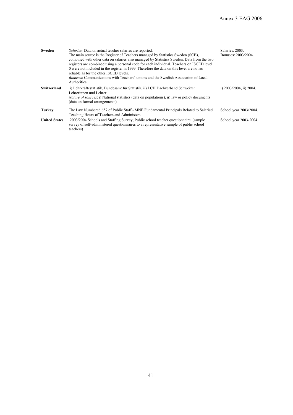| Sweden               | <i>Salaries:</i> Data on actual teacher salaries are reported.<br>The main source is the Register of Teachers managed by Statistics Sweden (SCB),<br>combined with other data on salaries also managed by Statistics Sweden. Data from the two<br>registers are combined using a personal code for each individual. Teachers on ISCED level<br>0 were not included in the register in 1999. Therefore the data on this level are not as<br>reliable as for the other ISCED levels.<br><i>Bonuses:</i> Communications with Teachers' unions and the Swedish Association of Local<br>Authorities. | Salaries: 2003.<br>Bonuses: 2003/2004. |
|----------------------|-------------------------------------------------------------------------------------------------------------------------------------------------------------------------------------------------------------------------------------------------------------------------------------------------------------------------------------------------------------------------------------------------------------------------------------------------------------------------------------------------------------------------------------------------------------------------------------------------|----------------------------------------|
| Switzerland          | i) Lehrkräftestatistik, Bundesamt für Statistik, ii) LCH Dachverband Schweizer<br>Lehrerinnen und Lehrer.<br><i>Nature of sources:</i> i) National statistics (data on populations), ii) law or policy documents<br>(data on formal arrangements).                                                                                                                                                                                                                                                                                                                                              | i) $2003/2004$ , ii) $2004$ .          |
| Turkey               | The Law Numbered 657 of Public Staff - MNE Fundamental Principals Related to Salaried<br>Teaching Hours of Teachers and Administers.                                                                                                                                                                                                                                                                                                                                                                                                                                                            | School year 2003/2004.                 |
| <b>United States</b> | 2003/2004 Schools and Staffing Survey; Public school teacher questionnaire. (sample<br>survey of self-administered questionnaires to a representative sample of public school<br>teachers)                                                                                                                                                                                                                                                                                                                                                                                                      | School year 2003-2004.                 |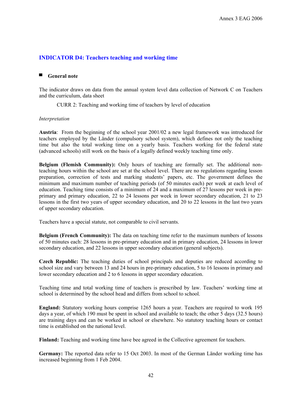### **INDICATOR D4: Teachers teaching and working time**

#### ■ **General note**

The indicator draws on data from the annual system level data collection of Network C on Teachers and the curriculum, data sheet

CURR 2: Teaching and working time of teachers by level of education

#### *Interpretation*

**Austria**: From the beginning of the school year 2001/02 a new legal framework was introduced for teachers employed by the Länder (compulsory school system), which defines not only the teaching time but also the total working time on a yearly basis. Teachers working for the federal state (advanced schools) still work on the basis of a legally defined weekly teaching time only.

**Belgium (Flemish Community):** Only hours of teaching are formally set. The additional nonteaching hours within the school are set at the school level. There are no regulations regarding lesson preparation, correction of tests and marking students' papers, etc. The government defines the minimum and maximum number of teaching periods (of 50 minutes each) per week at each level of education. Teaching time consists of a minimum of 24 and a maximum of 27 lessons per week in preprimary and primary education, 22 to 24 lessons per week in lower secondary education, 21 to 23 lessons in the first two years of upper secondary education, and 20 to 22 lessons in the last two years of upper secondary education.

Teachers have a special statute, not comparable to civil servants.

**Belgium (French Community):** The data on teaching time refer to the maximum numbers of lessons of 50 minutes each: 28 lessons in pre-primary education and in primary education, 24 lessons in lower secondary education, and 22 lessons in upper secondary education (general subjects).

**Czech Republic:** The teaching duties of school principals and deputies are reduced according to school size and vary between 13 and 24 hours in pre-primary education, 5 to 16 lessons in primary and lower secondary education and 2 to 6 lessons in upper secondary education.

Teaching time and total working time of teachers is prescribed by law. Teachers' working time at school is determined by the school head and differs from school to school.

**England:** Statutory working hours comprise 1265 hours a year. Teachers are required to work 195 days a year, of which 190 must be spent in school and available to teach; the other 5 days (32.5 hours) are training days and can be worked in school or elsewhere. No statutory teaching hours or contact time is established on the national level.

**Finland:** Teaching and working time have bee agreed in the Collective agreement for teachers.

**Germany:** The reported data refer to 15 Oct 2003. In most of the German Länder working time has increased beginning from 1 Feb 2004.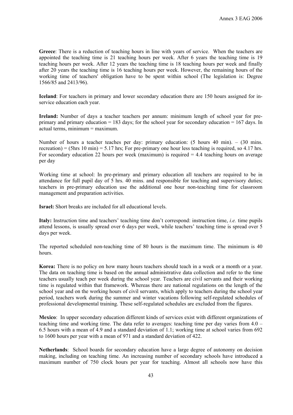**Greece**: There is a reduction of teaching hours in line with years of service. When the teachers are appointed the teaching time is 21 teaching hours per week. After 6 years the teaching time is 19 teaching hours per week. After 12 years the teaching time is 18 teaching hours per week and finally after 20 years the teaching time is 16 teaching hours per week. However, the remaining hours of the working time of teachers' obligation have to be spent within school (The legislation is: Degree 1566/85 and 2413/96).

**Iceland**: For teachers in primary and lower secondary education there are 150 hours assigned for inservice education each year.

**Ireland:** Number of days a teacher teachers per annum: minimum length of school year for preprimary and primary education = 183 days; for the school year for secondary education = 167 days. In actual terms, minimum = maximum.

Number of hours a teacher teaches per day: primary education: (5 hours 40 min). – (30 mins. recreation) = (5hrs 10 min) = 5.17 hrs; For pre-primary one hour less teaching is required, so 4.17 hrs. For secondary education 22 hours per week (maximum) is required  $= 4.4$  teaching hours on average per day

Working time at school: In pre-primary and primary education all teachers are required to be in attendance for full pupil day of 5 hrs. 40 mins. and responsible for teaching and supervisory duties; teachers in pre-primary education use the additional one hour non-teaching time for classroom management and preparation activities.

**Israel:** Short breaks are included for all educational levels.

**Italy:** Instruction time and teachers' teaching time don't correspond: instruction time, *i.e.* time pupils attend lessons, is usually spread over 6 days per week, while teachers' teaching time is spread over 5 days per week.

The reported scheduled non-teaching time of 80 hours is the maximum time. The minimum is 40 hours.

**Korea:** There is no policy on how many hours teachers should teach in a week or a month or a year. The data on teaching time is based on the annual administrative data collection and refer to the time teachers usually teach per week during the school year. Teachers are civil servants and their working time is regulated within that framework. Whereas there are national regulations on the length of the school year and on the working hours of civil servants, which apply to teachers during the school year period, teachers work during the summer and winter vacations following self-regulated schedules of professional developmental training. These self-regulated schedules are excluded from the figures.

**Mexico**: In upper secondary education different kinds of services exist with different organizations of teaching time and working time. The data refer to averages: teaching time per day varies from 4.0 – 6.5 hours with a mean of 4.9 and a standard deviation of 1.1; working time at school varies from 692 to 1600 hours per year with a mean of 971 and a standard deviation of 422.

**Netherlands**: School boards for secondary education have a large degree of autonomy on decision making, including on teaching time. An increasing number of secondary schools have introduced a maximum number of 750 clock hours per year for teaching. Almost all schools now have this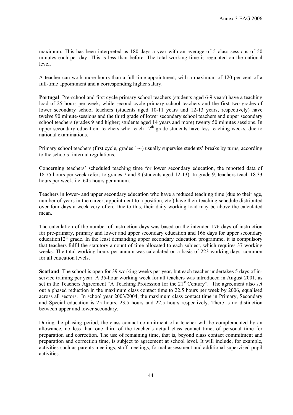maximum. This has been interpreted as 180 days a year with an average of 5 class sessions of 50 minutes each per day. This is less than before. The total working time is regulated on the national level.

A teacher can work more hours than a full-time appointment, with a maximum of 120 per cent of a full-time appointment and a corresponding higher salary.

**Portugal**: Pre-school and first cycle primary school teachers (students aged 6-9 years) have a teaching load of 25 hours per week, while second cycle primary school teachers and the first two grades of lower secondary school teachers (students aged 10-11 years and 12-13 years, respectively) have twelve 90 minute-sessions and the third grade of lower secondary school teachers and upper secondary school teachers (grades 9 and higher; students aged 14 years and more) twenty 50 minutes sessions. In upper secondary education, teachers who teach  $12<sup>th</sup>$  grade students have less teaching weeks, due to national examinations.

Primary school teachers (first cycle, grades 1-4) usually supervise students' breaks by turns, according to the schools' internal regulations.

Concerning teachers' scheduled teaching time for lower secondary education, the reported data of 18.75 hours per week refers to grades 7 and 8 (students aged 12-13). In grade 9, teachers teach 18.33 hours per week, i.e. 645 hours per annum.

Teachers in lower- and upper secondary education who have a reduced teaching time (due to their age, number of years in the career, appointment to a position, etc.) have their teaching schedule distributed over four days a week very often. Due to this, their daily working load may be above the calculated mean.

The calculation of the number of instruction days was based on the intended 176 days of instruction for pre-primary, primary and lower and upper secondary education and 166 days for upper secondary education12<sup>th</sup> grade. In the least demanding upper secondary education programme, it is compulsory that teachers fulfil the statutory amount of time allocated to each subject, which requires 37 working weeks. The total working hours per annum was calculated on a basis of 223 working days, common for all education levels.

**Scotland**: The school is open for 39 working weeks per year, but each teacher undertakes 5 days of inservice training per year. A 35-hour working week for all teachers was introduced in August 2001, as set in the Teachers Agreement "A Teaching Profession for the 21<sup>st</sup> Century". The agreement also set out a phased reduction in the maximum class contact time to 22.5 hours per week by 2006, equalised across all sectors. In school year 2003/2004, the maximum class contact time in Primary, Secondary and Special education is 25 hours, 23.5 hours and 22.5 hours respectively. There is no distinction between upper and lower secondary.

During the phasing period, the class contact commitment of a teacher will be complemented by an allowance, no less than one third of the teacher's actual class contact time, of personal time for preparation and correction. The use of remaining time, that is, beyond class contact commitment and preparation and correction time, is subject to agreement at school level. It will include, for example, activities such as parents meetings, staff meetings, formal assessment and additional supervised pupil activities.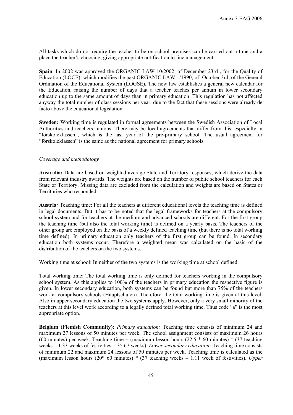All tasks which do not require the teacher to be on school premises can be carried out a time and a place the teacher's choosing, giving appropriate notification to line management.

**Spain**: In 2002 was approved the ORGANIC LAW 10/2002, of December 23rd , for the Quality of Education (LOCE), which modifies the past ORGANIC LAW 1/1990, of October 3rd, of the General Ordination of the Educational System (LOGSE). The new law establishes a general new calendar for the Education, raising the number of days that a teacher teaches per annum in lower secondary education up to the same amount of days than in primary education. This regulation has not affected anyway the total number of class sessions per year, due to the fact that these sessions were already de facto above the educational legislation.

**Sweden:** Working time is regulated in formal agreements between the Swedish Association of Local Authorities and teachers' unions. There may be local agreements that differ from this, especially in "förskoleklassen", which is the last year of the pre-primary school. The usual agreement for "förskoleklassen" is the same as the national agreement for primary schools.

#### *Coverage and methodology*

**Australia:** Data are based on weighted average State and Territory responses, which derive the data from relevant industry awards. The weights are based on the number of public school teachers for each State or Territory. Missing data are excluded from the calculation and weights are based on States or Territories who responded.

**Austria***:* Teaching time: For all the teachers at different educational levels the teaching time is defined in legal documents. But it has to be noted that the legal frameworks for teachers at the compulsory school system and for teachers at the medium and advanced schools are different. For the first group the teaching time (but also the total working time) is defined on a yearly basis. The teachers of the other group are employed on the basis of a weekly defined teaching time (but there is no total working time defined). In primary education only teachers of the first group can be found. In secondary education both systems occur. Therefore a weighted mean was calculated on the basis of the distribution of the teachers on the two systems.

Working time at school: In neither of the two systems is the working time at school defined.

Total working time: The total working time is only defined for teachers working in the compulsory school system. As this applies to 100% of the teachers in primary education the respective figure is given. In lower secondary education, both systems can be found but more than 75% of the teachers work at compulsory schools (Hauptschulen). Therefore, the total working time is given at this level. Also in upper secondary education the two systems apply. However, only a very small minority of the teachers at this level work according to a legally defined total working time. Thus code "a" is the most appropriate option.

**Belgium (Flemish Community):** *Primary education:* Teaching time consists of minimum 24 and maximum 27 lessons of 50 minutes per week. The school assignment consists of maximum 26 hours (60 minutes) per week. Teaching time = (maximum lesson hours  $(22.5 * 60 \text{ minutes}) * (37 \text{ teaching})$ weeks – 1.33 weeks of festivities = 35.67 weeks). *Lower secondary education:* Teaching time consists of minimum 22 and maximum 24 lessons of 50 minutes per week. Teaching time is calculated as the (maximum lesson hours (20\* 60 minutes) \* (37 teaching weeks – 1.11 week of festivities). *Upper*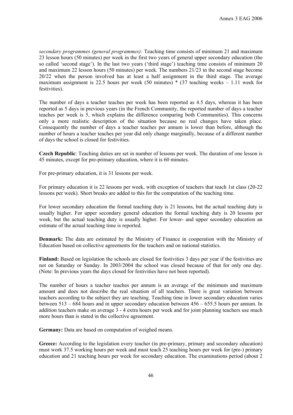*secondary programmes (general programmes):* Teaching time consists of minimum 21 and maximum 23 lesson hours (50 minutes) per week in the first two years of general upper secondary education (the so called 'second stage'). In the last two years ('third stage') teaching time consists of minimum 20 and maximum 22 lesson hours (50 minutes) per week. The numbers 21/23 in the second stage become 20/22 when the person involved has at least a half assignment in the third stage. The average maximum assignment is 22.5 hours per week (50 minutes)  $*$  (37 teaching weeks – 1.11 week for festivities).

The number of days a teacher teaches per week has been reported as 4.5 days, whereas it has been reported as 5 days in previous years (in the French Community, the reported number of days a teacher teaches per week is 5, which explains the difference comparing both Communities). This concerns only a more realistic description of the situation because no real changes have taken place. Consequently the number of days a teacher teaches per annum is lower than before, although the number of hours a teacher teaches per year did only change marginally, because of a different number of days the school is closed for festivities.

**Czech Republic**: Teaching duties are set in number of lessons per week. The duration of one lesson is 45 minutes, except for pre-primary education, where it is 60 minutes.

For pre-primary education, it is 31 lessons per week.

For primary education it is 22 lessons per week, with exception of teachers that teach 1st class (20-22 lessons per week). Short breaks are added to this for the computation of the teaching time.

For lower secondary education the formal teaching duty is 21 lessons, but the actual teaching duty is usually higher. For upper secondary general education the formal teaching duty is 20 lessons per week, but the actual teaching duty is usually higher. For lower- and upper secondary education an estimate of the actual teaching time is reported.

**Denmark:** The data are estimated by the Ministry of Finance in cooperation with the Ministry of Education based on collective agreements for the teachers and on national statistics.

**Finland:** Based on legislation the schools are closed for festivities 3 days per year if the festivities are not on Saturday or Sunday. In 2003/2004 the school was closed because of that for only one day. (Note: In previous years the days closed for festivities have not been reported).

The number of hours a teacher teaches per annum is an average of the minimum and maximum amount and does not describe the real situation of all teachers. There is great variation between teachers according to the subject they are teaching. Teaching time in lower secondary education varies between 513 – 684 hours and in upper secondary education between 456 – 655.5 hours per annum. In addition teachers make on average 3 - 4 extra hours per week and for joint planning teachers use much more hours than is stated in the collective agreement.

**Germany:** Data are based on computation of weighed means.

**Greece:** According to the legislation every teacher (in pre-primary, primary and secondary education) must work 37.5 working hours per week and must teach 25 teaching hours per week for (pre-) primary education and 21 teaching hours per week for secondary education. The examinations period (about 2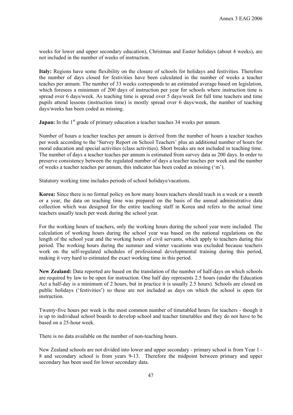weeks for lower and upper secondary education), Christmas and Easter holidays (about 4 weeks), are not included in the number of weeks of instruction.

**Italy:** Regions have some flexibility on the closure of schools for holidays and festivities. Therefore the number of days closed for festivities have been calculated in the number of weeks a teacher teaches per annum. The number of 33 weeks corresponds to an estimated average based on legislation, which foresees a minimum of 200 days of instruction per year for schools where instruction time is spread over 6 days/week. As teaching time is spread over 5 days/week for full time teachers and time pupils attend lessons (instruction time) is mostly spread over 6 days/week, the number of teaching days/weeks has been coded as missing.

**Japan:** In the 1<sup>st</sup> grade of primary education a teacher teaches 34 weeks per annum.

Number of hours a teacher teaches per annum is derived from the number of hours a teacher teaches per week according to the 'Survey Report on School Teachers' plus an additional number of hours for moral education and special activities (class activities). Short breaks are not included in teaching time. The number of days a teacher teaches per annum is estimated from survey data as 200 days. In order to preserve consistency between the regulated number of days a teacher teaches per week and the number of weeks a teacher teaches per annum, this indicator has been coded as missing ('m').

Statutory working time includes periods of school holidays/vacations.

**Korea:** Since there is no formal policy on how many hours teachers should teach in a week or a month or a year, the data on teaching time was prepared on the basis of the annual administrative data collection which was designed for the entire teaching staff in Korea and refers to the actual time teachers usually teach per week during the school year.

For the working hours of teachers, only the working hours during the school year were included. The calculation of working hours during the school year was based on the national regulations on the length of the school year and the working hours of civil servants, which apply to teachers during this period. The working hours during the summer and winter vacations was excluded because teachers work on the self-regulated schedules of professional developmental training during this period, making it very hard to estimated the exact working time in this period.

**New Zealand:** Data reported are based on the translation of the number of half-days on which schools are required by law to be open for instruction. One half day represents 2.5 hours (under the Education Act a half-day is a minimum of 2 hours, but in practice it is usually 2.5 hours). Schools are closed on public holidays ('festivities') so these are not included as days on which the school is open for instruction.

Twenty-five hours per week is the most common number of timetabled hours for teachers - though it is up to individual school boards to develop school and teacher timetables and they do not have to be based on a 25-hour week.

There is no data available on the number of non-teaching hours.

New Zealand schools are not divided into lower and upper secondary - primary school is from Year 1 - 8 and secondary school is from years 9-13. Therefore the midpoint between primary and upper secondary has been used for lower secondary data.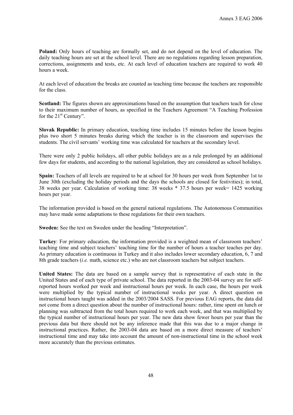**Poland:** Only hours of teaching are formally set, and do not depend on the level of education. The daily teaching hours are set at the school level. There are no regulations regarding lesson preparation, corrections, assignments and tests, etc. At each level of education teachers are required to work 40 hours a week.

At each level of education the breaks are counted as teaching time because the teachers are responsible for the class.

**Scotland:** The figures shown are approximations based on the assumption that teachers teach for close to their maximum number of hours, as specified in the Teachers Agreement "A Teaching Profession for the 21<sup>st</sup> Century".

**Slovak Republic:** In primary education, teaching time includes 15 minutes before the lesson begins plus two short 5 minutes breaks during which the teacher is in the classroom and supervises the students. The civil servants' working time was calculated for teachers at the secondary level.

There were only 2 public holidays, all other public holidays are as a rule prolonged by an additional few days for students, and according to the national legislation, they are considered as school holidays.

**Spain:** Teachers of all levels are required to be at school for 30 hours per week from September 1st to June 30th (excluding the holiday periods and the days the schools are closed for festivities); in total, 38 weeks per year. Calculation of working time: 38 weeks \* 37.5 hours per week= 1425 working hours per year.

The information provided is based on the general national regulations. The Autonomous Communities may have made some adaptations to these regulations for their own teachers.

**Sweden:** See the text on Sweden under the heading "Interpretation".

**Turkey**: For primary education, the information provided is a weighted mean of classroom teachers' teaching time and subject teachers' teaching time for the number of hours a teacher teaches per day. As primary education is continuous in Turkey and it also includes lower secondary education, 6, 7 and 8th grade teachers (*i.e.* math, science etc.) who are not classroom teachers but subject teachers.

**United States:** The data are based on a sample survey that is representative of each state in the United States and of each type of private school. The data reported in the 2003-04 survey are for selfreported hours worked per week and instructional hours per week. In each case, the hours per week were multiplied by the typical number of instructional weeks per year. A direct question on instructional hours taught was added in the 2003/2004 SASS. For previous EAG reports, the data did not come from a direct question about the number of instructional hours: rather, time spent on lunch or planning was subtracted from the total hours required to work each week, and that was multiplied by the typical number of instructional hours per year. The new data show fewer hours per year than the previous data but there should not be any inference made that this was due to a major change in instructional practices. Rather, the 2003-04 data are based on a more direct measure of teachers' instructional time and may take into account the amount of non-instructional time in the school week more accurately than the previous estimates.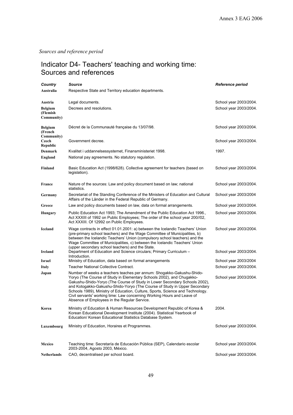*Sources and reference period* 

# Indicator D4- Teachers' teaching and working time: Sources and references

| Country                                  | <b>Source</b>                                                                                                                                                                                                                                                                                                                                                                                                                                                                                                          | Reference period       |
|------------------------------------------|------------------------------------------------------------------------------------------------------------------------------------------------------------------------------------------------------------------------------------------------------------------------------------------------------------------------------------------------------------------------------------------------------------------------------------------------------------------------------------------------------------------------|------------------------|
| Australia                                | Respective State and Territory education departments.                                                                                                                                                                                                                                                                                                                                                                                                                                                                  |                        |
| Austria                                  | Legal documents.                                                                                                                                                                                                                                                                                                                                                                                                                                                                                                       | School year 2003/2004. |
| <b>Belgium</b><br>(Flemish<br>Community) | Decrees and resolutions.                                                                                                                                                                                                                                                                                                                                                                                                                                                                                               | School year 2003/2004. |
| <b>Belgium</b><br>(French<br>Community)  | Décret de la Communauté française du 13/07/98.                                                                                                                                                                                                                                                                                                                                                                                                                                                                         | School year 2003/2004. |
| Czech<br><b>Republic</b>                 | Government decree.                                                                                                                                                                                                                                                                                                                                                                                                                                                                                                     | School year 2003/2004. |
| Denmark                                  | Kvalitet i uddannelsessystemet, Finansministeriet 1998.                                                                                                                                                                                                                                                                                                                                                                                                                                                                | 1997.                  |
| England                                  | National pay agreements. No statutory regulation.                                                                                                                                                                                                                                                                                                                                                                                                                                                                      |                        |
| Finland                                  | Basic Education Act (1998/628). Collective agreement for teachers (based on<br>legislation).                                                                                                                                                                                                                                                                                                                                                                                                                           | School year 2003/2004. |
| France                                   | Nature of the sources: Law and policy document based on law; national<br>statistics.                                                                                                                                                                                                                                                                                                                                                                                                                                   | School year 2003/2004. |
| Germany                                  | Secretariat of the Standing Conference of the Ministers of Education and Cultural<br>Affairs of the Länder in the Federal Republic of Germany.                                                                                                                                                                                                                                                                                                                                                                         | School year 2003/2004  |
| Greece                                   | Law and policy documents based on law, data on formal arrangements.                                                                                                                                                                                                                                                                                                                                                                                                                                                    | School year 2003/2004. |
| Hungary                                  | Public Education Act 1993; The Amendment of the Public Education Act 1996.,<br>Act XXXIII of 1992 on Public Employees; The order of the school year 200//02,<br>Act XXXIII. Of 12992 on Public Employees.                                                                                                                                                                                                                                                                                                              | School year 2003/2004. |
| <b>Iceland</b>                           | Wage contracts in effect 01.01.2001: a) between the Icelandic Teachers' Union<br>(pre-primary school teachers) and the Wage Committee of Municipalities, b)<br>between the Icelandic Teachers' Union (compulsory school teachers) and the<br>Wage Committee of Municipalities, c) between the Icelandic Teachers' Union<br>(upper secondary school teachers) and the State.                                                                                                                                            | School year 2003/2004. |
| Ireland                                  | Department of Education and Science circulars; Primary Curriculum -<br>Introduction.                                                                                                                                                                                                                                                                                                                                                                                                                                   | School year 2003/2004. |
| Israel                                   | Ministry of Education, data based on formal arrangements                                                                                                                                                                                                                                                                                                                                                                                                                                                               | School year 2003/2004  |
| Italy                                    | <b>Teacher National Collective Contract.</b>                                                                                                                                                                                                                                                                                                                                                                                                                                                                           | School year 2003/2004. |
| Japan                                    | Number of weeks a teachers teaches per annum: Shogakko-Gakushu-Shido-<br>Yoryo (The Course of Study in Elementary Schools 2002), and Chugakko-<br>Gakushu-Shido-Yoryo (The Course of Study in Lower Secondary Schools 2002),<br>and Kotogakko-Gakushu-Shido-Yoryo (The Course of Study in Upper Secondary<br>Schools 1989), Ministry of Education, Culture, Sports, Science and Technology.<br>Civil servants' working time: Law concerning Working Hours and Leave of<br>Absence of Employees in the Regular Service. | School year 2003/2004. |
| Korea                                    | Ministry of Education & Human Resources Development Republic of Korea &<br>Korean Educational Development Institute (2004). Statistical Yearbook of<br>Education/ Korean Educational Statistics Database System.                                                                                                                                                                                                                                                                                                       | 2004.                  |
| Luxembourg                               | Ministry of Education, Horaires et Programmes.                                                                                                                                                                                                                                                                                                                                                                                                                                                                         | School year 2003/2004. |
| Mexico                                   | Teaching time: Secretaría de Educación Pública (SEP), Calendario escolar<br>2003-2004, Agosto 2003, México.                                                                                                                                                                                                                                                                                                                                                                                                            | School year 2003/2004. |
| Netherlands                              | CAO, decentralised per school board.                                                                                                                                                                                                                                                                                                                                                                                                                                                                                   | School year 2003/2004. |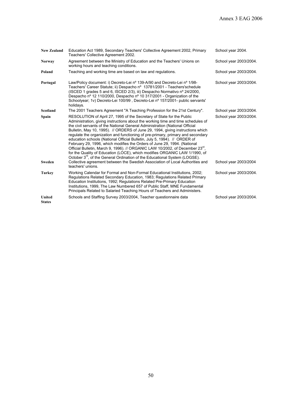| <b>New Zealand</b>      | Education Act 1989, Secondary Teachers' Collective Agreement 2002, Primary<br>Teachers' Collective Agreement 2002.                                                                                                                                                                                                                                                                                                                                                                                                                                                                                                                                                                                                                                                                                                                           | School year 2004.      |
|-------------------------|----------------------------------------------------------------------------------------------------------------------------------------------------------------------------------------------------------------------------------------------------------------------------------------------------------------------------------------------------------------------------------------------------------------------------------------------------------------------------------------------------------------------------------------------------------------------------------------------------------------------------------------------------------------------------------------------------------------------------------------------------------------------------------------------------------------------------------------------|------------------------|
| <b>Norway</b>           | Agreement between the Ministry of Education and the Teachers' Unions on<br>working hours and teaching conditions.                                                                                                                                                                                                                                                                                                                                                                                                                                                                                                                                                                                                                                                                                                                            | School year 2003/2004. |
| Poland                  | Teaching and working time are based on law and regulations.                                                                                                                                                                                                                                                                                                                                                                                                                                                                                                                                                                                                                                                                                                                                                                                  | School year 2003/2004. |
| Portugal                | Law/Policy document: i) Decreto-Lei nº 139-A/90 and Decreto-Lei nº 1/98-<br>Teachers' Career Statute; ii) Despacho nº 13781/2001 - Teachers'schedule<br>(ISCED 1 grades 5 and 6, ISCED 2/3), iii) Despacho Normativo nº 24/2000,<br>Despacho nº 12 110/2000, Despacho nº 10 317/2001 - Organization of the<br>Schoolyear; 1v) Decreto-Lei 100/99, Decreto-Lei nº 157/2001- public servants'<br>holidays.                                                                                                                                                                                                                                                                                                                                                                                                                                     | School year 2003/2004. |
| Scotland                | The 2001 Teachers Agreement "A Teaching Profession for the 21st Century".                                                                                                                                                                                                                                                                                                                                                                                                                                                                                                                                                                                                                                                                                                                                                                    | School year 2003/2004. |
| Spain                   | RESOLUTION of April 27, 1995 of the Secretary of State for the Public<br>Administration, giving instructions about the working time and time schedules of<br>the civil servants of the National General Administration (National Official<br>Bulletin, May 10, 1995). // ORDERS of June 29, 1994, giving instructions which<br>requiate the organization and functioning of pre-primary, primary and secondary<br>education schools (National Official Bulletin, July 5, 1994). // ORDER of<br>February 29, 1996, which modifies the Orders of June 29, 1994. (National<br>Official Bulletin, March 9, 1996). // ORGANIC LAW 10/2002, of December 23 <sup>ro</sup> ,<br>for the Quality of Education (LOCE), which modifies ORGANIC LAW 1/1990, of<br>October 3 <sup>rd</sup> , of the General Ordination of the Educational System (LOGSE). | School year 2003/2004. |
| Sweden                  | Collective agreement between the Swedish Association of Local Authorities and<br>teachers' unions.                                                                                                                                                                                                                                                                                                                                                                                                                                                                                                                                                                                                                                                                                                                                           | School year 2003/2004  |
| <b>Turkey</b>           | Working Calendar for Formal and Non-Formal Educational Institutions, 2002;<br>Regulations Related Secondary Education, 1983; Regulations Related Primary<br>Education Institutions, 1992; Regulations Related Pre-Primary Education<br>Institutions, 1999, The Law Numbered 657 of Public Staff, MNE Fundamental<br>Principals Related to Salaried Teaching Hours of Teachers and Administers.                                                                                                                                                                                                                                                                                                                                                                                                                                               | School year 2003/2004. |
| United<br><b>States</b> | Schools and Staffing Survey 2003/2004, Teacher questionnaire data                                                                                                                                                                                                                                                                                                                                                                                                                                                                                                                                                                                                                                                                                                                                                                            | School year 2003/2004. |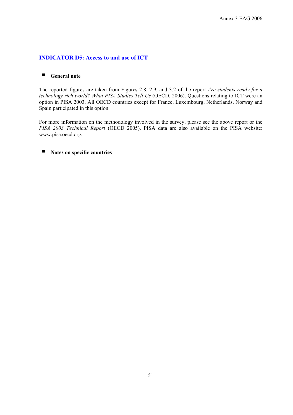# **INDICATOR D5: Access to and use of ICT**

## ■ **General note**

The reported figures are taken from Figures 2.8, 2.9, and 3.2 of the report *Are students ready for a technology rich world? What PISA Studies Tell Us* (OECD, 2006). Questions relating to ICT were an option in PISA 2003. All OECD countries except for France, Luxembourg, Netherlands, Norway and Spain participated in this option.

For more information on the methodology involved in the survey, please see the above report or the *PISA 2003 Technical Report* (OECD 2005). PISA data are also available on the PISA website: www.pisa.oecd.org*.*

# ■ **Notes on specific countries**